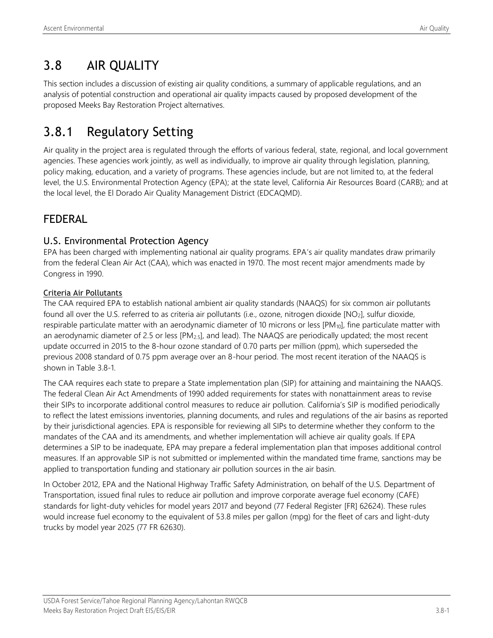# 3.8 AIR QUALITY

This section includes a discussion of existing air quality conditions, a summary of applicable regulations, and an analysis of potential construction and operational air quality impacts caused by proposed development of the proposed Meeks Bay Restoration Project alternatives.

# 3.8.1 Regulatory Setting

Air quality in the project area is regulated through the efforts of various federal, state, regional, and local government agencies. These agencies work jointly, as well as individually, to improve air quality through legislation, planning, policy making, education, and a variety of programs. These agencies include, but are not limited to, at the federal level, the U.S. Environmental Protection Agency (EPA); at the state level, California Air Resources Board (CARB); and at the local level, the El Dorado Air Quality Management District (EDCAQMD).

## FEDERAL

## U.S. Environmental Protection Agency

EPA has been charged with implementing national air quality programs. EPA's air quality mandates draw primarily from the federal Clean Air Act (CAA), which was enacted in 1970. The most recent major amendments made by Congress in 1990.

### Criteria Air Pollutants

The CAA required EPA to establish national ambient air quality standards (NAAQS) for six common air pollutants found all over the U.S. referred to as criteria air pollutants (i.e., ozone, nitrogen dioxide [NO2], sulfur dioxide, respirable particulate matter with an aerodynamic diameter of 10 microns or less [PM<sub>10</sub>], fine particulate matter with an aerodynamic diameter of 2.5 or less [PM<sub>2.5</sub>], and lead). The NAAQS are periodically updated; the most recent update occurred in 2015 to the 8-hour ozone standard of 0.70 parts per million (ppm), which superseded the previous 2008 standard of 0.75 ppm average over an 8-hour period. The most recent iteration of the NAAQS is shown in Table 3.8-1.

The CAA requires each state to prepare a State implementation plan (SIP) for attaining and maintaining the NAAQS. The federal Clean Air Act Amendments of 1990 added requirements for states with nonattainment areas to revise their SIPs to incorporate additional control measures to reduce air pollution. California's SIP is modified periodically to reflect the latest emissions inventories, planning documents, and rules and regulations of the air basins as reported by their jurisdictional agencies. EPA is responsible for reviewing all SIPs to determine whether they conform to the mandates of the CAA and its amendments, and whether implementation will achieve air quality goals. If EPA determines a SIP to be inadequate, EPA may prepare a federal implementation plan that imposes additional control measures. If an approvable SIP is not submitted or implemented within the mandated time frame, sanctions may be applied to transportation funding and stationary air pollution sources in the air basin.

In October 2012, EPA and the National Highway Traffic Safety Administration, on behalf of the U.S. Department of Transportation, issued final rules to reduce air pollution and improve corporate average fuel economy (CAFE) standards for light-duty vehicles for model years 2017 and beyond (77 Federal Register [FR] 62624). These rules would increase fuel economy to the equivalent of 53.8 miles per gallon (mpg) for the fleet of cars and light-duty trucks by model year 2025 (77 FR 62630).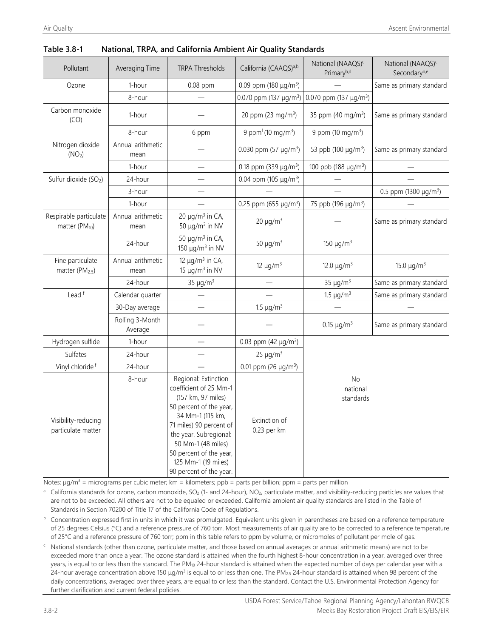| Pollutant                                            | Averaging Time             | <b>TRPA Thresholds</b>                                                                                                                                                                                                                                                      | California (CAAQS) <sup>a,b</sup>          | National (NAAQS) <sup>c</sup><br>Primaryb,d | National (NAAQS) <sup>c</sup><br>Secondaryb,e |
|------------------------------------------------------|----------------------------|-----------------------------------------------------------------------------------------------------------------------------------------------------------------------------------------------------------------------------------------------------------------------------|--------------------------------------------|---------------------------------------------|-----------------------------------------------|
| Ozone                                                | 1-hour                     | 0.08 ppm                                                                                                                                                                                                                                                                    | 0.09 ppm (180 $\mu$ g/m <sup>3</sup> )     |                                             | Same as primary standard                      |
|                                                      | 8-hour                     |                                                                                                                                                                                                                                                                             | 0.070 ppm (137 $\mu$ g/m <sup>3</sup> )    | 0.070 ppm (137 $\mu$ g/m <sup>3</sup> )     |                                               |
| Carbon monoxide<br>(CO)                              | 1-hour                     |                                                                                                                                                                                                                                                                             | 20 ppm (23 mg/m <sup>3</sup> )             | 35 ppm (40 mg/m <sup>3</sup> )              | Same as primary standard                      |
|                                                      | 8-hour                     | 6 ppm                                                                                                                                                                                                                                                                       | 9 ppm <sup>f</sup> (10 mg/m <sup>3</sup> ) | 9 ppm (10 mg/m <sup>3</sup> )               |                                               |
| Nitrogen dioxide<br>(NO <sub>2</sub> )               | Annual arithmetic<br>mean  |                                                                                                                                                                                                                                                                             | 0.030 ppm $(57 \mu g/m^3)$                 | 53 ppb (100 $\mu$ g/m <sup>3</sup> )        | Same as primary standard                      |
|                                                      | 1-hour                     |                                                                                                                                                                                                                                                                             | 0.18 ppm (339 $\mu$ g/m <sup>3</sup> )     | 100 ppb (188 $\mu$ g/m <sup>3</sup> )       |                                               |
| Sulfur dioxide (SO <sub>2</sub> )                    | 24-hour                    |                                                                                                                                                                                                                                                                             | 0.04 ppm (105 $\mu$ g/m <sup>3</sup> )     |                                             |                                               |
|                                                      | 3-hour                     |                                                                                                                                                                                                                                                                             |                                            |                                             | 0.5 ppm (1300 $\mu$ g/m <sup>3</sup> )        |
|                                                      | 1-hour                     |                                                                                                                                                                                                                                                                             | 0.25 ppm (655 µg/m <sup>3</sup> )          | 75 ppb (196 µg/m <sup>3</sup> )             |                                               |
| Respirable particulate<br>matter (PM <sub>10</sub> ) | Annual arithmetic<br>mean  | 20 $\mu$ g/m <sup>3</sup> in CA,<br>50 $\mu$ g/m <sup>3</sup> in NV                                                                                                                                                                                                         | $20 \mu g/m^3$                             |                                             | Same as primary standard                      |
|                                                      | 24-hour                    | 50 $\mu$ g/m <sup>3</sup> in CA,<br>150 $\mu$ g/m <sup>3</sup> in NV                                                                                                                                                                                                        | 50 $\mu$ g/m <sup>3</sup>                  | 150 $\mu$ g/m <sup>3</sup>                  |                                               |
| Fine particulate<br>matter (PM <sub>2.5</sub> )      | Annual arithmetic<br>mean  | 12 $\mu$ g/m <sup>3</sup> in CA,<br>15 $\mu$ g/m <sup>3</sup> in NV                                                                                                                                                                                                         | 12 $\mu$ g/m <sup>3</sup>                  | 12.0 $\mu$ g/m <sup>3</sup>                 | 15.0 $\mu$ g/m <sup>3</sup>                   |
|                                                      | 24-hour                    | 35 $\mu$ g/m <sup>3</sup>                                                                                                                                                                                                                                                   |                                            | 35 $\mu$ g/m <sup>3</sup>                   | Same as primary standard                      |
| Lead <sup>f</sup>                                    | Calendar quarter           |                                                                                                                                                                                                                                                                             |                                            | 1.5 $\mu$ g/m <sup>3</sup>                  | Same as primary standard                      |
|                                                      | 30-Day average             |                                                                                                                                                                                                                                                                             | 1.5 $\mu$ g/m <sup>3</sup>                 |                                             |                                               |
|                                                      | Rolling 3-Month<br>Average |                                                                                                                                                                                                                                                                             |                                            | $0.15 \mu g/m^3$                            | Same as primary standard                      |
| Hydrogen sulfide                                     | 1-hour                     |                                                                                                                                                                                                                                                                             | 0.03 ppm (42 $\mu$ g/m <sup>3</sup> )      |                                             |                                               |
| Sulfates                                             | 24-hour                    |                                                                                                                                                                                                                                                                             | $25 \mu g/m^3$                             |                                             |                                               |
| Vinyl chloride <sup>f</sup>                          | 24-hour                    |                                                                                                                                                                                                                                                                             | 0.01 ppm (26 $\mu$ g/m <sup>3</sup> )      |                                             |                                               |
| Visibility-reducing<br>particulate matter            | 8-hour                     | Regional: Extinction<br>coefficient of 25 Mm-1<br>(157 km, 97 miles)<br>50 percent of the year,<br>34 Mm-1 (115 km,<br>71 miles) 90 percent of<br>the year. Subregional:<br>50 Mm-1 (48 miles)<br>50 percent of the year,<br>125 Mm-1 (19 miles)<br>90 percent of the year. | Extinction of<br>0.23 per km               | No<br>national<br>standards                 |                                               |

#### **Table 3.8-1 National, TRPA, and California Ambient Air Quality Standards**

Notes:  $\mu g/m^3$  = micrograms per cubic meter; km = kilometers; ppb = parts per billion; ppm = parts per million

California standards for ozone, carbon monoxide, SO<sub>2</sub> (1- and 24-hour), NO<sub>2</sub>, particulate matter, and visibility-reducing particles are values that are not to be exceeded. All others are not to be equaled or exceeded. California ambient air quality standards are listed in the Table of Standards in Section 70200 of Title 17 of the California Code of Regulations.

 $<sup>b</sup>$  Concentration expressed first in units in which it was promulgated. Equivalent units given in parentheses are based on a reference temperature</sup> of 25 degrees Celsius (°C) and a reference pressure of 760 torr. Most measurements of air quality are to be corrected to a reference temperature of 25°C and a reference pressure of 760 torr; ppm in this table refers to ppm by volume, or micromoles of pollutant per mole of gas.

<sup>c</sup> National standards (other than ozone, particulate matter, and those based on annual averages or annual arithmetic means) are not to be exceeded more than once a year. The ozone standard is attained when the fourth highest 8-hour concentration in a year, averaged over three years, is equal to or less than the standard. The PM<sub>10</sub> 24-hour standard is attained when the expected number of days per calendar year with a 24-hour average concentration above 150 µg/m<sup>3</sup> is equal to or less than one. The PM<sub>2.5</sub> 24-hour standard is attained when 98 percent of the daily concentrations, averaged over three years, are equal to or less than the standard. Contact the U.S. Environmental Protection Agency for further clarification and current federal policies.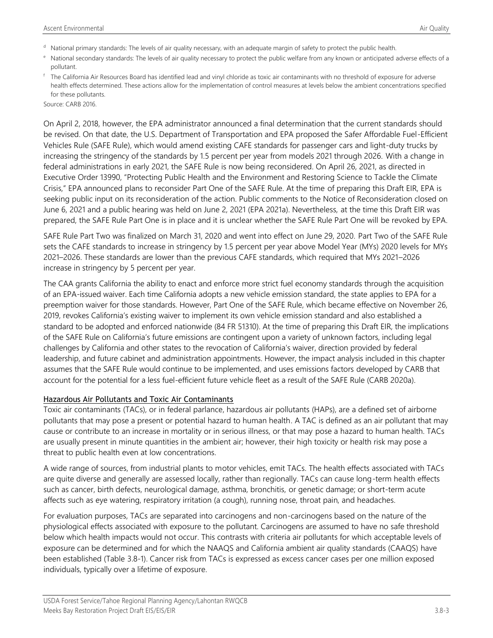- <sup>d</sup> National primary standards: The levels of air quality necessary, with an adequate margin of safety to protect the public health.
- e National secondary standards: The levels of air quality necessary to protect the public welfare from any known or anticipated adverse effects of a pollutant.
- <sup>f</sup> The California Air Resources Board has identified lead and vinyl chloride as toxic air contaminants with no threshold of exposure for adverse health effects determined. These actions allow for the implementation of control measures at levels below the ambient concentrations specified for these pollutants.

Source: CARB 2016.

On April 2, 2018, however, the EPA administrator announced a final determination that the current standards should be revised. On that date, the U.S. Department of Transportation and EPA proposed the Safer Affordable Fuel-Efficient Vehicles Rule (SAFE Rule), which would amend existing CAFE standards for passenger cars and light-duty trucks by increasing the stringency of the standards by 1.5 percent per year from models 2021 through 2026. With a change in federal administrations in early 2021, the SAFE Rule is now being reconsidered. On April 26, 2021, as directed in Executive Order 13990, "Protecting Public Health and the Environment and Restoring Science to Tackle the Climate Crisis," EPA announced plans to reconsider Part One of the SAFE Rule. At the time of preparing this Draft EIR, EPA is seeking public input on its reconsideration of the action. Public comments to the Notice of Reconsideration closed on June 6, 2021 and a public hearing was held on June 2, 2021 (EPA 2021a). Nevertheless, at the time this Draft EIR was prepared, the SAFE Rule Part One is in place and it is unclear whether the SAFE Rule Part One will be revoked by EPA.

SAFE Rule Part Two was finalized on March 31, 2020 and went into effect on June 29, 2020. Part Two of the SAFE Rule sets the CAFE standards to increase in stringency by 1.5 percent per year above Model Year (MYs) 2020 levels for MYs 2021–2026. These standards are lower than the previous CAFE standards, which required that MYs 2021–2026 increase in stringency by 5 percent per year.

The CAA grants California the ability to enact and enforce more strict fuel economy standards through the acquisition of an EPA-issued waiver. Each time California adopts a new vehicle emission standard, the state applies to EPA for a preemption waiver for those standards. However, Part One of the SAFE Rule, which became effective on November 26, 2019, revokes California's existing waiver to implement its own vehicle emission standard and also established a standard to be adopted and enforced nationwide (84 FR 51310). At the time of preparing this Draft EIR, the implications of the SAFE Rule on California's future emissions are contingent upon a variety of unknown factors, including legal challenges by California and other states to the revocation of California's waiver, direction provided by federal leadership, and future cabinet and administration appointments. However, the impact analysis included in this chapter assumes that the SAFE Rule would continue to be implemented, and uses emissions factors developed by CARB that account for the potential for a less fuel-efficient future vehicle fleet as a result of the SAFE Rule (CARB 2020a).

#### Hazardous Air Pollutants and Toxic Air Contaminants

Toxic air contaminants (TACs), or in federal parlance, hazardous air pollutants (HAPs), are a defined set of airborne pollutants that may pose a present or potential hazard to human health. A TAC is defined as an air pollutant that may cause or contribute to an increase in mortality or in serious illness, or that may pose a hazard to human health. TACs are usually present in minute quantities in the ambient air; however, their high toxicity or health risk may pose a threat to public health even at low concentrations.

A wide range of sources, from industrial plants to motor vehicles, emit TACs. The health effects associated with TACs are quite diverse and generally are assessed locally, rather than regionally. TACs can cause long-term health effects such as cancer, birth defects, neurological damage, asthma, bronchitis, or genetic damage; or short-term acute affects such as eye watering, respiratory irritation (a cough), running nose, throat pain, and headaches.

For evaluation purposes, TACs are separated into carcinogens and non-carcinogens based on the nature of the physiological effects associated with exposure to the pollutant. Carcinogens are assumed to have no safe threshold below which health impacts would not occur. This contrasts with criteria air pollutants for which acceptable levels of exposure can be determined and for which the NAAQS and California ambient air quality standards (CAAQS) have been established (Table 3.8-1). Cancer risk from TACs is expressed as excess cancer cases per one million exposed individuals, typically over a lifetime of exposure.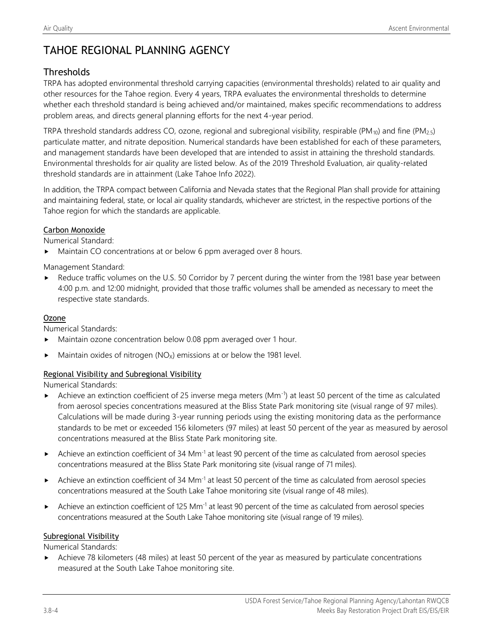## TAHOE REGIONAL PLANNING AGENCY

## **Thresholds**

TRPA has adopted environmental threshold carrying capacities (environmental thresholds) related to air quality and other resources for the Tahoe region. Every 4 years, TRPA evaluates the environmental thresholds to determine whether each threshold standard is being achieved and/or maintained, makes specific recommendations to address problem areas, and directs general planning efforts for the next 4-year period.

TRPA threshold standards address CO, ozone, regional and subregional visibility, respirable (PM<sub>10</sub>) and fine (PM<sub>2.5</sub>) particulate matter, and nitrate deposition. Numerical standards have been established for each of these parameters, and management standards have been developed that are intended to assist in attaining the threshold standards. Environmental thresholds for air quality are listed below. As of the 2019 Threshold Evaluation, air quality-related threshold standards are in attainment (Lake Tahoe Info 2022).

In addition, the TRPA compact between California and Nevada states that the Regional Plan shall provide for attaining and maintaining federal, state, or local air quality standards, whichever are strictest, in the respective portions of the Tahoe region for which the standards are applicable.

### Carbon Monoxide

Numerical Standard:

Maintain CO concentrations at or below 6 ppm averaged over 8 hours.

Management Standard:

Reduce traffic volumes on the U.S. 50 Corridor by 7 percent during the winter from the 1981 base year between 4:00 p.m. and 12:00 midnight, provided that those traffic volumes shall be amended as necessary to meet the respective state standards.

### Ozone

Numerical Standards:

- Maintain ozone concentration below 0.08 ppm averaged over 1 hour.
- Maintain oxides of nitrogen ( $NO<sub>x</sub>$ ) emissions at or below the 1981 level.

### Regional Visibility and Subregional Visibility

Numerical Standards:

- Achieve an extinction coefficient of 25 inverse mega meters (Mm<sup>-1</sup>) at least 50 percent of the time as calculated from aerosol species concentrations measured at the Bliss State Park monitoring site (visual range of 97 miles). Calculations will be made during 3-year running periods using the existing monitoring data as the performance standards to be met or exceeded 156 kilometers (97 miles) at least 50 percent of the year as measured by aerosol concentrations measured at the Bliss State Park monitoring site.
- Achieve an extinction coefficient of 34 Mm<sup>-1</sup> at least 90 percent of the time as calculated from aerosol species concentrations measured at the Bliss State Park monitoring site (visual range of 71 miles).
- Achieve an extinction coefficient of 34 Mm<sup>-1</sup> at least 50 percent of the time as calculated from aerosol species concentrations measured at the South Lake Tahoe monitoring site (visual range of 48 miles).
- Achieve an extinction coefficient of 125 Mm<sup>-1</sup> at least 90 percent of the time as calculated from aerosol species concentrations measured at the South Lake Tahoe monitoring site (visual range of 19 miles).

#### Subregional Visibility

Numerical Standards:

Achieve 78 kilometers (48 miles) at least 50 percent of the year as measured by particulate concentrations measured at the South Lake Tahoe monitoring site.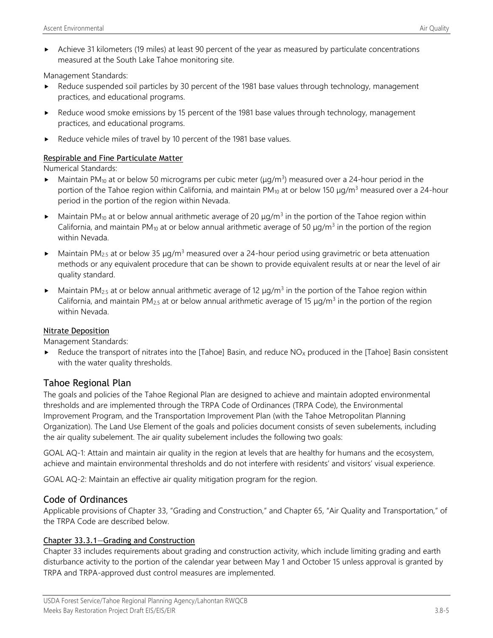Achieve 31 kilometers (19 miles) at least 90 percent of the year as measured by particulate concentrations measured at the South Lake Tahoe monitoring site.

Management Standards:

- Reduce suspended soil particles by 30 percent of the 1981 base values through technology, management practices, and educational programs.
- Reduce wood smoke emissions by 15 percent of the 1981 base values through technology, management practices, and educational programs.
- Reduce vehicle miles of travel by 10 percent of the 1981 base values.

### Respirable and Fine Particulate Matter

Numerical Standards:

- Maintain PM<sub>10</sub> at or below 50 micrograms per cubic meter ( $\mu$ g/m<sup>3</sup>) measured over a 24-hour period in the portion of the Tahoe region within California, and maintain PM<sub>10</sub> at or below 150 μg/m<sup>3</sup> measured over a 24-hour period in the portion of the region within Nevada.
- Maintain PM<sub>10</sub> at or below annual arithmetic average of 20  $\mu$ g/m<sup>3</sup> in the portion of the Tahoe region within California, and maintain PM<sub>10</sub> at or below annual arithmetic average of 50  $\mu$ g/m<sup>3</sup> in the portion of the region within Nevada.
- Maintain PM<sub>2.5</sub> at or below 35  $\mu q/m^3$  measured over a 24-hour period using gravimetric or beta attenuation methods or any equivalent procedure that can be shown to provide equivalent results at or near the level of air quality standard.
- Maintain PM<sub>2.5</sub> at or below annual arithmetic average of 12  $\mu$ g/m<sup>3</sup> in the portion of the Tahoe region within California, and maintain PM<sub>2.5</sub> at or below annual arithmetic average of 15  $\mu$ g/m<sup>3</sup> in the portion of the region within Nevada.

### Nitrate Deposition

Management Standards:

Reduce the transport of nitrates into the [Tahoe] Basin, and reduce  $NO<sub>X</sub>$  produced in the [Tahoe] Basin consistent with the water quality thresholds.

## Tahoe Regional Plan

The goals and policies of the Tahoe Regional Plan are designed to achieve and maintain adopted environmental thresholds and are implemented through the TRPA Code of Ordinances (TRPA Code), the Environmental Improvement Program, and the Transportation Improvement Plan (with the Tahoe Metropolitan Planning Organization). The Land Use Element of the goals and policies document consists of seven subelements, including the air quality subelement. The air quality subelement includes the following two goals:

GOAL AQ-1: Attain and maintain air quality in the region at levels that are healthy for humans and the ecosystem, achieve and maintain environmental thresholds and do not interfere with residents' and visitors' visual experience.

GOAL AQ-2: Maintain an effective air quality mitigation program for the region.

### Code of Ordinances

Applicable provisions of Chapter 33, "Grading and Construction," and Chapter 65, "Air Quality and Transportation," of the TRPA Code are described below.

### Chapter 33.3.1—Grading and Construction

Chapter 33 includes requirements about grading and construction activity, which include limiting grading and earth disturbance activity to the portion of the calendar year between May 1 and October 15 unless approval is granted by TRPA and TRPA-approved dust control measures are implemented.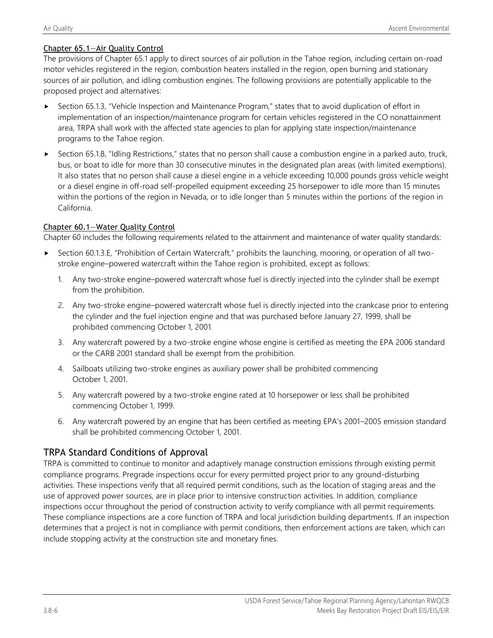### Chapter 65.1—Air Quality Control

The provisions of Chapter 65.1 apply to direct sources of air pollution in the Tahoe region, including certain on-road motor vehicles registered in the region, combustion heaters installed in the region, open burning and stationary sources of air pollution, and idling combustion engines. The following provisions are potentially applicable to the proposed project and alternatives:

- ► Section 65.1.3, "Vehicle Inspection and Maintenance Program," states that to avoid duplication of effort in implementation of an inspection/maintenance program for certain vehicles registered in the CO nonattainment area, TRPA shall work with the affected state agencies to plan for applying state inspection/maintenance programs to the Tahoe region.
- ► Section 65.1.8, "Idling Restrictions," states that no person shall cause a combustion engine in a parked auto, truck, bus, or boat to idle for more than 30 consecutive minutes in the designated plan areas (with limited exemptions). It also states that no person shall cause a diesel engine in a vehicle exceeding 10,000 pounds gross vehicle weight or a diesel engine in off-road self-propelled equipment exceeding 25 horsepower to idle more than 15 minutes within the portions of the region in Nevada, or to idle longer than 5 minutes within the portions of the region in California.

### Chapter 60.1—Water Quality Control

Chapter 60 includes the following requirements related to the attainment and maintenance of water quality standards:

- Section 60.1.3.E, "Prohibition of Certain Watercraft," prohibits the launching, mooring, or operation of all twostroke engine–powered watercraft within the Tahoe region is prohibited, except as follows:
	- 1. Any two-stroke engine–powered watercraft whose fuel is directly injected into the cylinder shall be exempt from the prohibition.
	- 2. Any two-stroke engine–powered watercraft whose fuel is directly injected into the crankcase prior to entering the cylinder and the fuel injection engine and that was purchased before January 27, 1999, shall be prohibited commencing October 1, 2001.
	- 3. Any watercraft powered by a two-stroke engine whose engine is certified as meeting the EPA 2006 standard or the CARB 2001 standard shall be exempt from the prohibition.
	- 4. Sailboats utilizing two-stroke engines as auxiliary power shall be prohibited commencing October 1, 2001.
	- 5. Any watercraft powered by a two-stroke engine rated at 10 horsepower or less shall be prohibited commencing October 1, 1999.
	- 6. Any watercraft powered by an engine that has been certified as meeting EPA's 2001–2005 emission standard shall be prohibited commencing October 1, 2001.

### TRPA Standard Conditions of Approval

TRPA is committed to continue to monitor and adaptively manage construction emissions through existing permit compliance programs. Pregrade inspections occur for every permitted project prior to any ground-disturbing activities. These inspections verify that all required permit conditions, such as the location of staging areas and the use of approved power sources, are in place prior to intensive construction activities. In addition, compliance inspections occur throughout the period of construction activity to verify compliance with all permit requirements. These compliance inspections are a core function of TRPA and local jurisdiction building departments. If an inspection determines that a project is not in compliance with permit conditions, then enforcement actions are taken, which can include stopping activity at the construction site and monetary fines.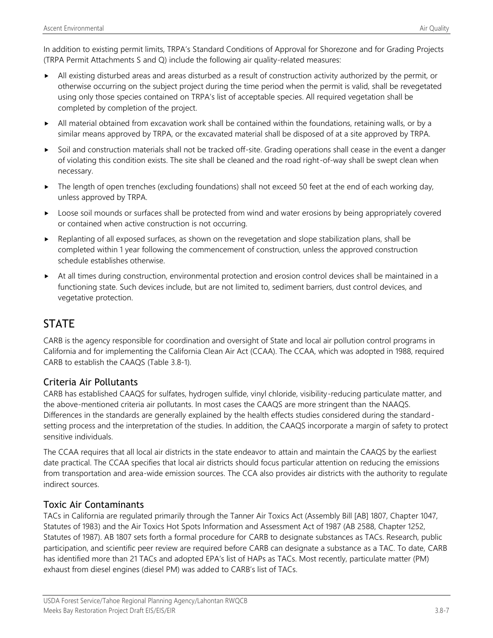In addition to existing permit limits, TRPA's Standard Conditions of Approval for Shorezone and for Grading Projects (TRPA Permit Attachments S and Q) include the following air quality-related measures:

- All existing disturbed areas and areas disturbed as a result of construction activity authorized by the permit, or otherwise occurring on the subject project during the time period when the permit is valid, shall be revegetated using only those species contained on TRPA's list of acceptable species. All required vegetation shall be completed by completion of the project.
- All material obtained from excavation work shall be contained within the foundations, retaining walls, or by a similar means approved by TRPA, or the excavated material shall be disposed of at a site approved by TRPA.
- $\triangleright$  Soil and construction materials shall not be tracked off-site. Grading operations shall cease in the event a danger of violating this condition exists. The site shall be cleaned and the road right-of-way shall be swept clean when necessary.
- ▶ The length of open trenches (excluding foundations) shall not exceed 50 feet at the end of each working day, unless approved by TRPA.
- **Loose soil mounds or surfaces shall be protected from wind and water erosions by being appropriately covered** or contained when active construction is not occurring.
- $\blacktriangleright$  Replanting of all exposed surfaces, as shown on the revegetation and slope stabilization plans, shall be completed within 1 year following the commencement of construction, unless the approved construction schedule establishes otherwise.
- At all times during construction, environmental protection and erosion control devices shall be maintained in a functioning state. Such devices include, but are not limited to, sediment barriers, dust control devices, and vegetative protection.

## **STATE**

CARB is the agency responsible for coordination and oversight of State and local air pollution control programs in California and for implementing the California Clean Air Act (CCAA). The CCAA, which was adopted in 1988, required CARB to establish the CAAQS (Table 3.8-1).

## Criteria Air Pollutants

CARB has established CAAQS for sulfates, hydrogen sulfide, vinyl chloride, visibility-reducing particulate matter, and the above-mentioned criteria air pollutants. In most cases the CAAQS are more stringent than the NAAQS. Differences in the standards are generally explained by the health effects studies considered during the standardsetting process and the interpretation of the studies. In addition, the CAAQS incorporate a margin of safety to protect sensitive individuals.

The CCAA requires that all local air districts in the state endeavor to attain and maintain the CAAQS by the earliest date practical. The CCAA specifies that local air districts should focus particular attention on reducing the emissions from transportation and area-wide emission sources. The CCA also provides air districts with the authority to regulate indirect sources.

## Toxic Air Contaminants

TACs in California are regulated primarily through the Tanner Air Toxics Act (Assembly Bill [AB] 1807, Chapter 1047, Statutes of 1983) and the Air Toxics Hot Spots Information and Assessment Act of 1987 (AB 2588, Chapter 1252, Statutes of 1987). AB 1807 sets forth a formal procedure for CARB to designate substances as TACs. Research, public participation, and scientific peer review are required before CARB can designate a substance as a TAC. To date, CARB has identified more than 21 TACs and adopted EPA's list of HAPs as TACs. Most recently, particulate matter (PM) exhaust from diesel engines (diesel PM) was added to CARB's list of TACs.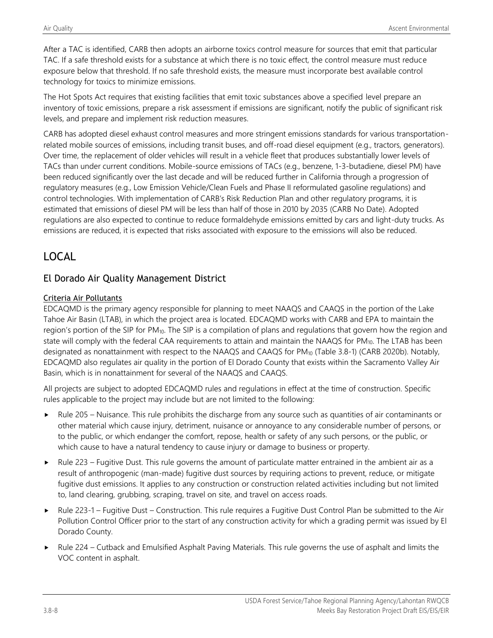After a TAC is identified, CARB then adopts an airborne toxics control measure for sources that emit that particular TAC. If a safe threshold exists for a substance at which there is no toxic effect, the control measure must reduce exposure below that threshold. If no safe threshold exists, the measure must incorporate best available control technology for toxics to minimize emissions.

The Hot Spots Act requires that existing facilities that emit toxic substances above a specified level prepare an inventory of toxic emissions, prepare a risk assessment if emissions are significant, notify the public of significant risk levels, and prepare and implement risk reduction measures.

CARB has adopted diesel exhaust control measures and more stringent emissions standards for various transportationrelated mobile sources of emissions, including transit buses, and off-road diesel equipment (e.g., tractors, generators). Over time, the replacement of older vehicles will result in a vehicle fleet that produces substantially lower levels of TACs than under current conditions. Mobile-source emissions of TACs (e.g., benzene, 1-3-butadiene, diesel PM) have been reduced significantly over the last decade and will be reduced further in California through a progression of regulatory measures (e.g., Low Emission Vehicle/Clean Fuels and Phase II reformulated gasoline regulations) and control technologies. With implementation of CARB's Risk Reduction Plan and other regulatory programs, it is estimated that emissions of diesel PM will be less than half of those in 2010 by 2035 (CARB No Date). Adopted regulations are also expected to continue to reduce formaldehyde emissions emitted by cars and light-duty trucks. As emissions are reduced, it is expected that risks associated with exposure to the emissions will also be reduced.

## LOCAL

## El Dorado Air Quality Management District

### Criteria Air Pollutants

EDCAQMD is the primary agency responsible for planning to meet NAAQS and CAAQS in the portion of the Lake Tahoe Air Basin (LTAB), in which the project area is located. EDCAQMD works with CARB and EPA to maintain the region's portion of the SIP for PM10. The SIP is a compilation of plans and regulations that govern how the region and state will comply with the federal CAA requirements to attain and maintain the NAAQS for PM<sub>10</sub>. The LTAB has been designated as nonattainment with respect to the NAAQS and CAAQS for PM<sub>10</sub> (Table 3.8-1) (CARB 2020b). Notably, EDCAQMD also regulates air quality in the portion of El Dorado County that exists within the Sacramento Valley Air Basin, which is in nonattainment for several of the NAAQS and CAAQS.

All projects are subject to adopted EDCAQMD rules and regulations in effect at the time of construction. Specific rules applicable to the project may include but are not limited to the following:

- Rule 205 Nuisance. This rule prohibits the discharge from any source such as quantities of air contaminants or other material which cause injury, detriment, nuisance or annoyance to any considerable number of persons, or to the public, or which endanger the comfort, repose, health or safety of any such persons, or the public, or which cause to have a natural tendency to cause injury or damage to business or property.
- $\blacktriangleright$  Rule 223 Fugitive Dust. This rule governs the amount of particulate matter entrained in the ambient air as a result of anthropogenic (man-made) fugitive dust sources by requiring actions to prevent, reduce, or mitigate fugitive dust emissions. It applies to any construction or construction related activities including but not limited to, land clearing, grubbing, scraping, travel on site, and travel on access roads.
- ► Rule 223-1 Fugitive Dust Construction. This rule requires a Fugitive Dust Control Plan be submitted to the Air Pollution Control Officer prior to the start of any construction activity for which a grading permit was issued by El Dorado County.
- Rule 224 Cutback and Emulsified Asphalt Paving Materials. This rule governs the use of asphalt and limits the VOC content in asphalt.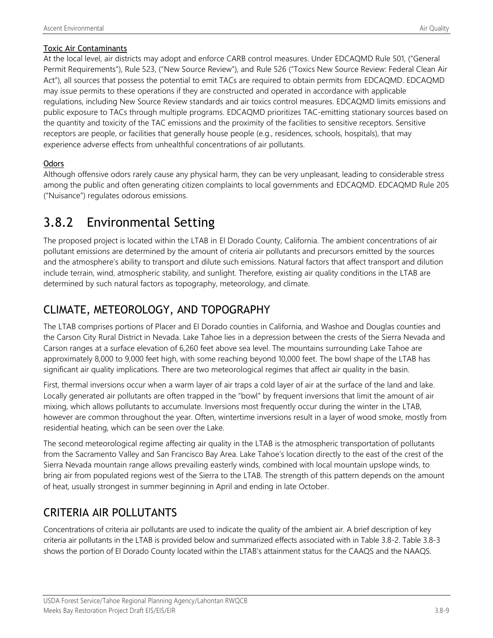### Toxic Air Contaminants

At the local level, air districts may adopt and enforce CARB control measures. Under EDCAQMD Rule 501, ("General Permit Requirements"), Rule 523, ("New Source Review"), and Rule 526 ("Toxics New Source Review: Federal Clean Air Act"), all sources that possess the potential to emit TACs are required to obtain permits from EDCAQMD. EDCAQMD may issue permits to these operations if they are constructed and operated in accordance with applicable regulations, including New Source Review standards and air toxics control measures. EDCAQMD limits emissions and public exposure to TACs through multiple programs. EDCAQMD prioritizes TAC-emitting stationary sources based on the quantity and toxicity of the TAC emissions and the proximity of the facilities to sensitive receptors. Sensitive receptors are people, or facilities that generally house people (e.g., residences, schools, hospitals), that may experience adverse effects from unhealthful concentrations of air pollutants.

### **Odors**

Although offensive odors rarely cause any physical harm, they can be very unpleasant, leading to considerable stress among the public and often generating citizen complaints to local governments and EDCAQMD. EDCAQMD Rule 205 ("Nuisance") regulates odorous emissions.

# 3.8.2 Environmental Setting

The proposed project is located within the LTAB in El Dorado County, California. The ambient concentrations of air pollutant emissions are determined by the amount of criteria air pollutants and precursors emitted by the sources and the atmosphere's ability to transport and dilute such emissions. Natural factors that affect transport and dilution include terrain, wind, atmospheric stability, and sunlight. Therefore, existing air quality conditions in the LTAB are determined by such natural factors as topography, meteorology, and climate.

## CLIMATE, METEOROLOGY, AND TOPOGRAPHY

The LTAB comprises portions of Placer and El Dorado counties in California, and Washoe and Douglas counties and the Carson City Rural District in Nevada. Lake Tahoe lies in a depression between the crests of the Sierra Nevada and Carson ranges at a surface elevation of 6,260 feet above sea level. The mountains surrounding Lake Tahoe are approximately 8,000 to 9,000 feet high, with some reaching beyond 10,000 feet. The bowl shape of the LTAB has significant air quality implications. There are two meteorological regimes that affect air quality in the basin.

First, thermal inversions occur when a warm layer of air traps a cold layer of air at the surface of the land and lake. Locally generated air pollutants are often trapped in the "bowl" by frequent inversions that limit the amount of air mixing, which allows pollutants to accumulate. Inversions most frequently occur during the winter in the LTAB, however are common throughout the year. Often, wintertime inversions result in a layer of wood smoke, mostly from residential heating, which can be seen over the Lake.

The second meteorological regime affecting air quality in the LTAB is the atmospheric transportation of pollutants from the Sacramento Valley and San Francisco Bay Area. Lake Tahoe's location directly to the east of the crest of the Sierra Nevada mountain range allows prevailing easterly winds, combined with local mountain upslope winds, to bring air from populated regions west of the Sierra to the LTAB. The strength of this pattern depends on the amount of heat, usually strongest in summer beginning in April and ending in late October.

## CRITERIA AIR POLLUTANTS

Concentrations of criteria air pollutants are used to indicate the quality of the ambient air. A brief description of key criteria air pollutants in the LTAB is provided below and summarized effects associated with in Table 3.8-2. Table 3.8-3 shows the portion of El Dorado County located within the LTAB's attainment status for the CAAQS and the NAAQS.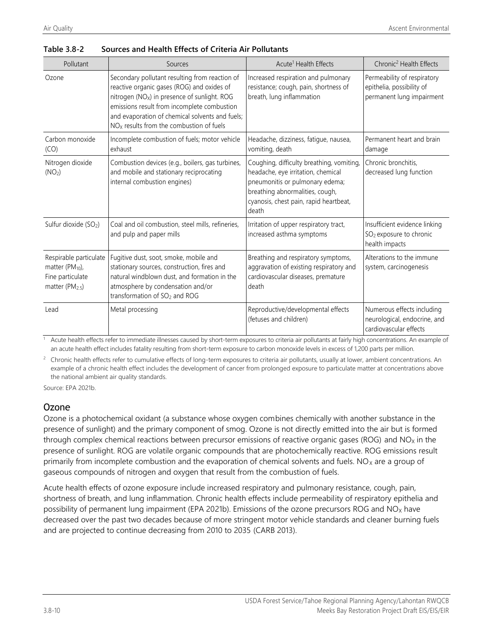| Pollutant                                                                                         | Sources                                                                                                                                                                                                                                                                                                  | Acute <sup>1</sup> Health Effects                                                                                                                                                                        | Chronic <sup>2</sup> Health Effects                                                    |
|---------------------------------------------------------------------------------------------------|----------------------------------------------------------------------------------------------------------------------------------------------------------------------------------------------------------------------------------------------------------------------------------------------------------|----------------------------------------------------------------------------------------------------------------------------------------------------------------------------------------------------------|----------------------------------------------------------------------------------------|
| Ozone                                                                                             | Secondary pollutant resulting from reaction of<br>reactive organic gases (ROG) and oxides of<br>nitrogen (NO <sub>x</sub> ) in presence of sunlight. ROG<br>emissions result from incomplete combustion<br>and evaporation of chemical solvents and fuels;<br>$NOx$ results from the combustion of fuels | Increased respiration and pulmonary<br>resistance; cough, pain, shortness of<br>breath, lung inflammation                                                                                                | Permeability of respiratory<br>epithelia, possibility of<br>permanent lung impairment  |
| Carbon monoxide<br>(CO)                                                                           | Incomplete combustion of fuels; motor vehicle<br>exhaust                                                                                                                                                                                                                                                 | Headache, dizziness, fatique, nausea,<br>vomiting, death                                                                                                                                                 | Permanent heart and brain<br>damage                                                    |
| Nitrogen dioxide<br>(NO <sub>2</sub> )                                                            | Combustion devices (e.g., boilers, gas turbines,<br>and mobile and stationary reciprocating<br>internal combustion engines)                                                                                                                                                                              | Coughing, difficulty breathing, vomiting,<br>headache, eye irritation, chemical<br>pneumonitis or pulmonary edema;<br>breathing abnormalities, cough,<br>cyanosis, chest pain, rapid heartbeat,<br>death | Chronic bronchitis.<br>decreased lung function                                         |
| Sulfur dioxide (SO <sub>2</sub> )                                                                 | Coal and oil combustion, steel mills, refineries,<br>and pulp and paper mills                                                                                                                                                                                                                            | Irritation of upper respiratory tract,<br>increased asthma symptoms                                                                                                                                      | Insufficient evidence linking<br>SO <sub>2</sub> exposure to chronic<br>health impacts |
| Respirable particulate<br>matter $(PM_{10})$ ,<br>Fine particulate<br>matter (PM <sub>2.5</sub> ) | Fugitive dust, soot, smoke, mobile and<br>stationary sources, construction, fires and<br>natural windblown dust, and formation in the<br>atmosphere by condensation and/or<br>transformation of SO <sub>2</sub> and ROG                                                                                  | Breathing and respiratory symptoms,<br>aggravation of existing respiratory and<br>cardiovascular diseases, premature<br>death                                                                            | Alterations to the immune<br>system, carcinogenesis                                    |
| Lead                                                                                              | Metal processing                                                                                                                                                                                                                                                                                         | Reproductive/developmental effects<br>(fetuses and children)                                                                                                                                             | Numerous effects including<br>neurological, endocrine, and<br>cardiovascular effects   |

| Table 3.8-2 | Sources and Health Effects of Criteria Air Pollutants |
|-------------|-------------------------------------------------------|
|             |                                                       |

Acute health effects refer to immediate illnesses caused by short-term exposures to criteria air pollutants at fairly high concentrations. An example of an acute health effect includes fatality resulting from short-term exposure to carbon monoxide levels in excess of 1,200 parts per million.

 $2$  Chronic health effects refer to cumulative effects of long-term exposures to criteria air pollutants, usually at lower, ambient concentrations. An example of a chronic health effect includes the development of cancer from prolonged exposure to particulate matter at concentrations above the national ambient air quality standards.

Source: EPA 2021b.

## Ozone

Ozone is a photochemical oxidant (a substance whose oxygen combines chemically with another substance in the presence of sunlight) and the primary component of smog. Ozone is not directly emitted into the air but is formed through complex chemical reactions between precursor emissions of reactive organic gases (ROG) and  $NO<sub>X</sub>$  in the presence of sunlight. ROG are volatile organic compounds that are photochemically reactive. ROG emissions result primarily from incomplete combustion and the evaporation of chemical solvents and fuels.  $NO<sub>X</sub>$  are a group of gaseous compounds of nitrogen and oxygen that result from the combustion of fuels.

Acute health effects of ozone exposure include increased respiratory and pulmonary resistance, cough, pain, shortness of breath, and lung inflammation. Chronic health effects include permeability of respiratory epithelia and possibility of permanent lung impairment (EPA 2021b). Emissions of the ozone precursors ROG and  $NO<sub>X</sub>$  have decreased over the past two decades because of more stringent motor vehicle standards and cleaner burning fuels and are projected to continue decreasing from 2010 to 2035 (CARB 2013).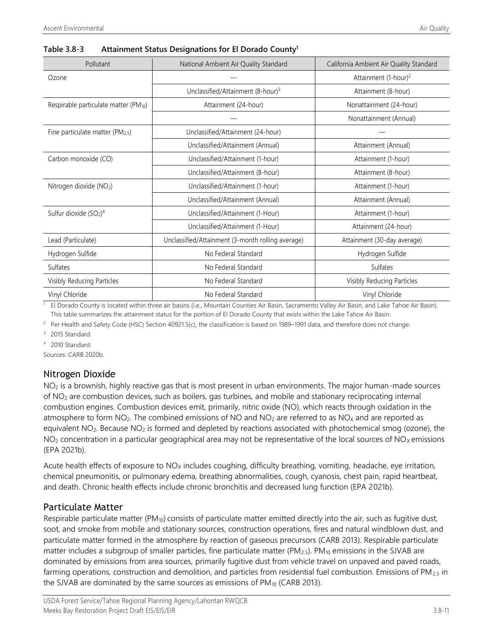| Pollutant                                         | National Ambient Air Quality Standard             | California Ambient Air Quality Standard |
|---------------------------------------------------|---------------------------------------------------|-----------------------------------------|
| Ozone                                             |                                                   | Attainment (1-hour) <sup>2</sup>        |
|                                                   | Unclassified/Attainment (8-hour) <sup>3</sup>     | Attainment (8-hour)                     |
| Respirable particulate matter (PM <sub>10</sub> ) | Attainment (24-hour)                              | Nonattainment (24-hour)                 |
|                                                   |                                                   | Nonattainment (Annual)                  |
| Fine particulate matter ( $PM_{2.5}$ )            | Unclassified/Attainment (24-hour)                 |                                         |
|                                                   | Unclassified/Attainment (Annual)                  | Attainment (Annual)                     |
| Carbon monoxide (CO)                              | Unclassified/Attainment (1-hour)                  | Attainment (1-hour)                     |
|                                                   | Unclassified/Attainment (8-hour)                  | Attainment (8-hour)                     |
| Nitrogen dioxide (NO2)                            | Unclassified/Attainment (1-hour)                  | Attainment (1-hour)                     |
|                                                   | Unclassified/Attainment (Annual)                  | Attainment (Annual)                     |
| Sulfur dioxide $(SO2)4$                           | Unclassified/Attainment (1-Hour)                  | Attainment (1-hour)                     |
|                                                   | Unclassified/Attainment (1-Hour)                  | Attainment (24-hour)                    |
| Lead (Particulate)                                | Unclassified/Attainment (3-month rolling average) | Attainment (30-day average)             |
| Hydrogen Sulfide                                  | No Federal Standard                               | Hydrogen Sulfide                        |
| <b>Sulfates</b>                                   | No Federal Standard                               | Sulfates                                |
| Visibly Reducing Particles                        | No Federal Standard                               | Visibly Reducing Particles              |
| Vinyl Chloride                                    | No Federal Standard                               | Vinyl Chloride                          |

#### **Table 3.8-3 Attainment Status Designations for El Dorado County<sup>1</sup>**

<sup>1</sup> El Dorado County is located within three air basins (i.e., Mountain Counties Air Basin, Sacramento Valley Air Basin, and Lake Tahoe Air Basin). This table summarizes the attainment status for the portion of El Dorado County that exists within the Lake Tahoe Air Basin.

 $2$  Per Health and Safety Code (HSC) Section 40921.5(c), the classification is based on 1989–1991 data, and therefore does not change.

<sup>3</sup> 2015 Standard.

<sup>4</sup> 2010 Standard.

Sources: CARB 2020b.

### Nitrogen Dioxide

NO<sub>2</sub> is a brownish, highly reactive gas that is most present in urban environments. The major human-made sources of NO<sup>2</sup> are combustion devices, such as boilers, gas turbines, and mobile and stationary reciprocating internal combustion engines. Combustion devices emit, primarily, nitric oxide (NO), which reacts through oxidation in the atmosphere to form  $NO<sub>2</sub>$ . The combined emissions of NO and  $NO<sub>2</sub>$  are referred to as  $NO<sub>X</sub>$  and are reported as equivalent NO2. Because NO<sup>2</sup> is formed and depleted by reactions associated with photochemical smog (ozone), the  $NO<sub>2</sub>$  concentration in a particular geographical area may not be representative of the local sources of  $NO<sub>X</sub>$  emissions (EPA 2021b).

Acute health effects of exposure to  $NO<sub>X</sub>$  includes coughing, difficulty breathing, vomiting, headache, eye irritation, chemical pneumonitis, or pulmonary edema, breathing abnormalities, cough, cyanosis, chest pain, rapid heartbeat, and death. Chronic health effects include chronic bronchitis and decreased lung function (EPA 2021b).

### Particulate Matter

Respirable particulate matter ( $PM_{10}$ ) consists of particulate matter emitted directly into the air, such as fugitive dust, soot, and smoke from mobile and stationary sources, construction operations, fires and natural windblown dust, and particulate matter formed in the atmosphere by reaction of gaseous precursors (CARB 2013). Respirable particulate matter includes a subgroup of smaller particles, fine particulate matter ( $PM_{2.5}$ ). PM<sub>10</sub> emissions in the SJVAB are dominated by emissions from area sources, primarily fugitive dust from vehicle travel on unpaved and paved roads, farming operations, construction and demolition, and particles from residential fuel combustion. Emissions of PM $_{2.5}$  in the SJVAB are dominated by the same sources as emissions of  $PM_{10}$  (CARB 2013).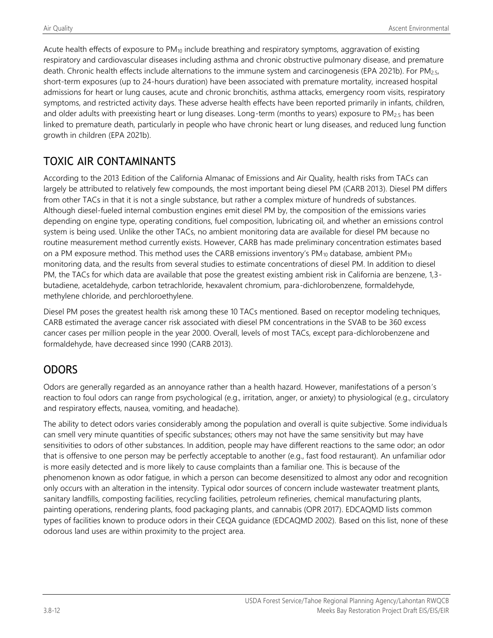Acute health effects of exposure to PM<sub>10</sub> include breathing and respiratory symptoms, aggravation of existing respiratory and cardiovascular diseases including asthma and chronic obstructive pulmonary disease, and premature death. Chronic health effects include alternations to the immune system and carcinogenesis (EPA 2021b). For PM<sub>2.5</sub>, short-term exposures (up to 24-hours duration) have been associated with premature mortality, increased hospital admissions for heart or lung causes, acute and chronic bronchitis, asthma attacks, emergency room visits, respiratory symptoms, and restricted activity days. These adverse health effects have been reported primarily in infants, children, and older adults with preexisting heart or lung diseases. Long-term (months to years) exposure to PM<sub>2.5</sub> has been linked to premature death, particularly in people who have chronic heart or lung diseases, and reduced lung function growth in children (EPA 2021b).

## TOXIC AIR CONTAMINANTS

According to the 2013 Edition of the California Almanac of Emissions and Air Quality, health risks from TACs can largely be attributed to relatively few compounds, the most important being diesel PM (CARB 2013). Diesel PM differs from other TACs in that it is not a single substance, but rather a complex mixture of hundreds of substances. Although diesel-fueled internal combustion engines emit diesel PM by, the composition of the emissions varies depending on engine type, operating conditions, fuel composition, lubricating oil, and whether an emissions control system is being used. Unlike the other TACs, no ambient monitoring data are available for diesel PM because no routine measurement method currently exists. However, CARB has made preliminary concentration estimates based on a PM exposure method. This method uses the CARB emissions inventory's PM<sub>10</sub> database, ambient PM<sub>10</sub> monitoring data, and the results from several studies to estimate concentrations of diesel PM. In addition to diesel PM, the TACs for which data are available that pose the greatest existing ambient risk in California are benzene, 1,3 butadiene, acetaldehyde, carbon tetrachloride, hexavalent chromium, para-dichlorobenzene, formaldehyde, methylene chloride, and perchloroethylene.

Diesel PM poses the greatest health risk among these 10 TACs mentioned. Based on receptor modeling techniques, CARB estimated the average cancer risk associated with diesel PM concentrations in the SVAB to be 360 excess cancer cases per million people in the year 2000. Overall, levels of most TACs, except para-dichlorobenzene and formaldehyde, have decreased since 1990 (CARB 2013).

## ODORS

Odors are generally regarded as an annoyance rather than a health hazard. However, manifestations of a person's reaction to foul odors can range from psychological (e.g., irritation, anger, or anxiety) to physiological (e.g., circulatory and respiratory effects, nausea, vomiting, and headache).

The ability to detect odors varies considerably among the population and overall is quite subjective. Some individuals can smell very minute quantities of specific substances; others may not have the same sensitivity but may have sensitivities to odors of other substances. In addition, people may have different reactions to the same odor; an odor that is offensive to one person may be perfectly acceptable to another (e.g., fast food restaurant). An unfamiliar odor is more easily detected and is more likely to cause complaints than a familiar one. This is because of the phenomenon known as odor fatigue, in which a person can become desensitized to almost any odor and recognition only occurs with an alteration in the intensity. Typical odor sources of concern include wastewater treatment plants, sanitary landfills, composting facilities, recycling facilities, petroleum refineries, chemical manufacturing plants, painting operations, rendering plants, food packaging plants, and cannabis (OPR 2017). EDCAQMD lists common types of facilities known to produce odors in their CEQA guidance (EDCAQMD 2002). Based on this list, none of these odorous land uses are within proximity to the project area.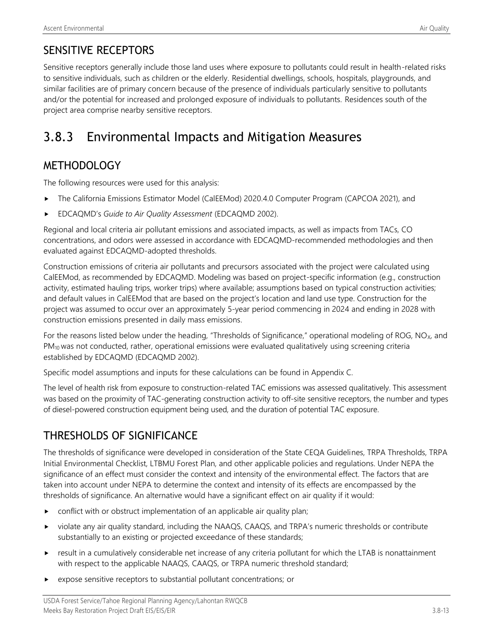Sensitive receptors generally include those land uses where exposure to pollutants could result in health-related risks to sensitive individuals, such as children or the elderly. Residential dwellings, schools, hospitals, playgrounds, and similar facilities are of primary concern because of the presence of individuals particularly sensitive to pollutants and/or the potential for increased and prolonged exposure of individuals to pollutants. Residences south of the project area comprise nearby sensitive receptors.

# 3.8.3 Environmental Impacts and Mitigation Measures

## **METHODOLOGY**

The following resources were used for this analysis:

- The California Emissions Estimator Model (CalEEMod) 2020.4.0 Computer Program (CAPCOA 2021), and
- EDCAQMD's *Guide to Air Quality Assessment* (EDCAQMD 2002).

Regional and local criteria air pollutant emissions and associated impacts, as well as impacts from TACs, CO concentrations, and odors were assessed in accordance with EDCAQMD-recommended methodologies and then evaluated against EDCAQMD-adopted thresholds.

Construction emissions of criteria air pollutants and precursors associated with the project were calculated using CalEEMod, as recommended by EDCAQMD. Modeling was based on project-specific information (e.g., construction activity, estimated hauling trips, worker trips) where available; assumptions based on typical construction activities; and default values in CalEEMod that are based on the project's location and land use type. Construction for the project was assumed to occur over an approximately 5-year period commencing in 2024 and ending in 2028 with construction emissions presented in daily mass emissions.

For the reasons listed below under the heading, "Thresholds of Significance," operational modeling of ROG,  $NO_{X}$ , and PM<sub>10</sub> was not conducted, rather, operational emissions were evaluated qualitatively using screening criteria established by EDCAQMD (EDCAQMD 2002).

Specific model assumptions and inputs for these calculations can be found in Appendix C.

The level of health risk from exposure to construction-related TAC emissions was assessed qualitatively. This assessment was based on the proximity of TAC-generating construction activity to off-site sensitive receptors, the number and types of diesel-powered construction equipment being used, and the duration of potential TAC exposure.

## THRESHOLDS OF SIGNIFICANCE

The thresholds of significance were developed in consideration of the State CEQA Guidelines, TRPA Thresholds, TRPA Initial Environmental Checklist, LTBMU Forest Plan, and other applicable policies and regulations. Under NEPA the significance of an effect must consider the context and intensity of the environmental effect. The factors that are taken into account under NEPA to determine the context and intensity of its effects are encompassed by the thresholds of significance. An alternative would have a significant effect on air quality if it would:

- **DED** conflict with or obstruct implementation of an applicable air quality plan;
- violate any air quality standard, including the NAAQS, CAAQS, and TRPA's numeric thresholds or contribute substantially to an existing or projected exceedance of these standards;
- result in a cumulatively considerable net increase of any criteria pollutant for which the LTAB is nonattainment with respect to the applicable NAAQS, CAAQS, or TRPA numeric threshold standard;
- expose sensitive receptors to substantial pollutant concentrations; or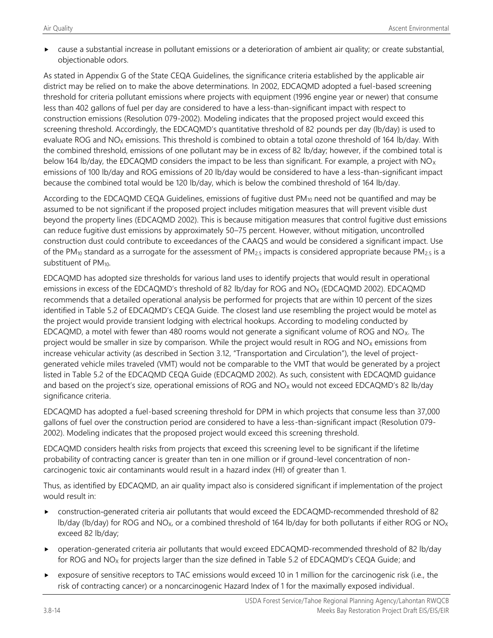cause a substantial increase in pollutant emissions or a deterioration of ambient air quality; or create substantial, objectionable odors.

As stated in Appendix G of the State CEQA Guidelines, the significance criteria established by the applicable air district may be relied on to make the above determinations. In 2002, EDCAQMD adopted a fuel-based screening threshold for criteria pollutant emissions where projects with equipment (1996 engine year or newer) that consume less than 402 gallons of fuel per day are considered to have a less-than-significant impact with respect to construction emissions (Resolution 079-2002). Modeling indicates that the proposed project would exceed this screening threshold. Accordingly, the EDCAQMD's quantitative threshold of 82 pounds per day (lb/day) is used to evaluate ROG and  $NO<sub>X</sub>$  emissions. This threshold is combined to obtain a total ozone threshold of 164 lb/day. With the combined threshold, emissions of one pollutant may be in excess of 82 lb/day; however, if the combined total is below 164 lb/day, the EDCAQMD considers the impact to be less than significant. For example, a project with  $NO<sub>X</sub>$ emissions of 100 lb/day and ROG emissions of 20 lb/day would be considered to have a less-than-significant impact because the combined total would be 120 lb/day, which is below the combined threshold of 164 lb/day.

According to the EDCAQMD CEQA Guidelines, emissions of fugitive dust  $PM_{10}$  need not be quantified and may be assumed to be not significant if the proposed project includes mitigation measures that will prevent visible dust beyond the property lines (EDCAQMD 2002). This is because mitigation measures that control fugitive dust emissions can reduce fugitive dust emissions by approximately 50–75 percent. However, without mitigation, uncontrolled construction dust could contribute to exceedances of the CAAQS and would be considered a significant impact. Use of the PM<sub>10</sub> standard as a surrogate for the assessment of PM<sub>2.5</sub> impacts is considered appropriate because PM<sub>2.5</sub> is a substituent of PM<sub>10</sub>.

EDCAQMD has adopted size thresholds for various land uses to identify projects that would result in operational emissions in excess of the EDCAQMD's threshold of 82 lb/day for ROG and NO<sub>X</sub> (EDCAQMD 2002). EDCAQMD recommends that a detailed operational analysis be performed for projects that are within 10 percent of the sizes identified in Table 5.2 of EDCAQMD's CEQA Guide. The closest land use resembling the project would be motel as the project would provide transient lodging with electrical hookups. According to modeling conducted by EDCAQMD, a motel with fewer than 480 rooms would not generate a significant volume of ROG and  $NO<sub>X</sub>$ . The project would be smaller in size by comparison. While the project would result in ROG and  $NO<sub>X</sub>$  emissions from increase vehicular activity (as described in Section 3.12, "Transportation and Circulation"), the level of projectgenerated vehicle miles traveled (VMT) would not be comparable to the VMT that would be generated by a project listed in Table 5.2 of the EDCAQMD CEQA Guide (EDCAQMD 2002). As such, consistent with EDCAQMD guidance and based on the project's size, operational emissions of ROG and  $NO<sub>x</sub>$  would not exceed EDCAQMD's 82 lb/day significance criteria.

EDCAQMD has adopted a fuel-based screening threshold for DPM in which projects that consume less than 37,000 gallons of fuel over the construction period are considered to have a less-than-significant impact (Resolution 079- 2002). Modeling indicates that the proposed project would exceed this screening threshold.

EDCAQMD considers health risks from projects that exceed this screening level to be significant if the lifetime probability of contracting cancer is greater than ten in one million or if ground-level concentration of noncarcinogenic toxic air contaminants would result in a hazard index (HI) of greater than 1.

Thus, as identified by EDCAQMD, an air quality impact also is considered significant if implementation of the project would result in:

- construction-generated criteria air pollutants that would exceed the EDCAQMD‐recommended threshold of 82 lb/day (lb/day) for ROG and NO<sub>x</sub>, or a combined threshold of 164 lb/day for both pollutants if either ROG or NO<sub>x</sub> exceed 82 lb/day;
- operation-generated criteria air pollutants that would exceed EDCAQMD-recommended threshold of 82 lb/day for ROG and NO<sub>X</sub> for projects larger than the size defined in Table 5.2 of EDCAQMD's CEQA Guide; and
- exposure of sensitive receptors to TAC emissions would exceed 10 in 1 million for the carcinogenic risk (i.e., the risk of contracting cancer) or a noncarcinogenic Hazard Index of 1 for the maximally exposed individual.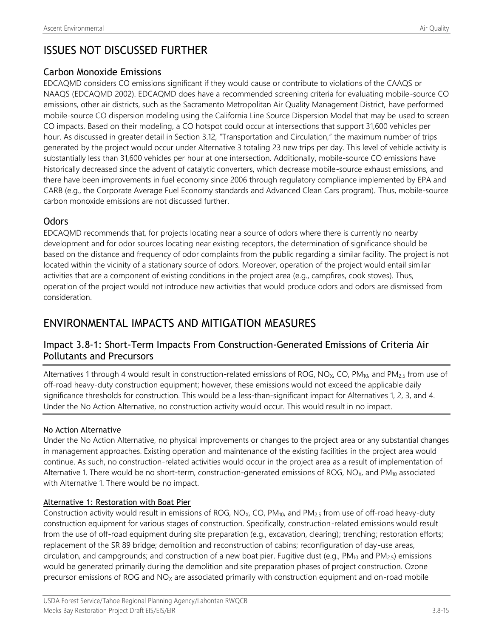## ISSUES NOT DISCUSSED FURTHER

### Carbon Monoxide Emissions

EDCAQMD considers CO emissions significant if they would cause or contribute to violations of the CAAQS or NAAQS (EDCAQMD 2002). EDCAQMD does have a recommended screening criteria for evaluating mobile-source CO emissions, other air districts, such as the Sacramento Metropolitan Air Quality Management District, have performed mobile-source CO dispersion modeling using the California Line Source Dispersion Model that may be used to screen CO impacts. Based on their modeling, a CO hotspot could occur at intersections that support 31,600 vehicles per hour. As discussed in greater detail in Section 3.12, "Transportation and Circulation," the maximum number of trips generated by the project would occur under Alternative 3 totaling 23 new trips per day. This level of vehicle activity is substantially less than 31,600 vehicles per hour at one intersection. Additionally, mobile-source CO emissions have historically decreased since the advent of catalytic converters, which decrease mobile-source exhaust emissions, and there have been improvements in fuel economy since 2006 through regulatory compliance implemented by EPA and CARB (e.g., the Corporate Average Fuel Economy standards and Advanced Clean Cars program). Thus, mobile-source carbon monoxide emissions are not discussed further.

## **Odors**

EDCAQMD recommends that, for projects locating near a source of odors where there is currently no nearby development and for odor sources locating near existing receptors, the determination of significance should be based on the distance and frequency of odor complaints from the public regarding a similar facility. The project is not located within the vicinity of a stationary source of odors. Moreover, operation of the project would entail similar activities that are a component of existing conditions in the project area (e.g., campfires, cook stoves). Thus, operation of the project would not introduce new activities that would produce odors and odors are dismissed from consideration.

## ENVIRONMENTAL IMPACTS AND MITIGATION MEASURES

## Impact 3.8-1: Short-Term Impacts From Construction-Generated Emissions of Criteria Air Pollutants and Precursors

Alternatives 1 through 4 would result in construction-related emissions of ROG, NO<sub>x</sub>, CO, PM<sub>10</sub>, and PM<sub>2.5</sub> from use of off-road heavy-duty construction equipment; however, these emissions would not exceed the applicable daily significance thresholds for construction. This would be a less-than-significant impact for Alternatives 1, 2, 3, and 4. Under the No Action Alternative, no construction activity would occur. This would result in no impact.

### No Action Alternative

Under the No Action Alternative, no physical improvements or changes to the project area or any substantial changes in management approaches. Existing operation and maintenance of the existing facilities in the project area would continue. As such, no construction-related activities would occur in the project area as a result of implementation of Alternative 1. There would be no short-term, construction-generated emissions of ROG,  $NO<sub>X</sub>$ , and  $PM<sub>10</sub>$  associated with Alternative 1. There would be no impact.

### Alternative 1: Restoration with Boat Pier

Construction activity would result in emissions of ROG, NO<sub>x</sub>, CO, PM<sub>10</sub>, and PM<sub>2.5</sub> from use of off-road heavy-duty construction equipment for various stages of construction. Specifically, construction-related emissions would result from the use of off-road equipment during site preparation (e.g., excavation, clearing); trenching; restoration efforts; replacement of the SR 89 bridge; demolition and reconstruction of cabins; reconfiguration of day-use areas, circulation, and campgrounds; and construction of a new boat pier. Fugitive dust (e.g., PM<sub>10</sub> and PM<sub>2.5</sub>) emissions would be generated primarily during the demolition and site preparation phases of project construction. Ozone precursor emissions of ROG and NO<sub>x</sub> are associated primarily with construction equipment and on-road mobile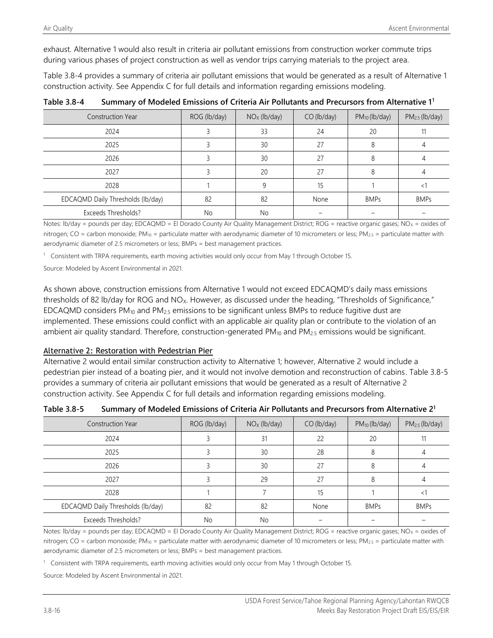exhaust. Alternative 1 would also result in criteria air pollutant emissions from construction worker commute trips during various phases of project construction as well as vendor trips carrying materials to the project area.

Table 3.8-4 provides a summary of criteria air pollutant emissions that would be generated as a result of Alternative 1 construction activity. See Appendix C for full details and information regarding emissions modeling.

| <b>Construction Year</b>          | ROG (lb/day) | $NOx$ (lb/day) | $CO$ (lb/day) | $PM_{10}$ (lb/day) | $PM2.5$ (lb/day) |
|-----------------------------------|--------------|----------------|---------------|--------------------|------------------|
| 2024                              |              | 33             | 24            | 20                 |                  |
| 2025                              |              | 30             | 27            |                    |                  |
| 2026                              |              | 30             | 27            |                    |                  |
| 2027                              |              | 20             | 27            |                    |                  |
| 2028                              |              |                | 15            |                    | ≺                |
| EDCAQMD Daily Thresholds (lb/day) | 82           | 82             | None          | <b>BMPs</b>        | <b>BMPs</b>      |
| Exceeds Thresholds?               | No           | No             |               |                    |                  |

**Table 3.8-4 Summary of Modeled Emissions of Criteria Air Pollutants and Precursors from Alternative 1<sup>1</sup>**

Notes: lb/day = pounds per day; EDCAQMD = El Dorado County Air Quality Management District; ROG = reactive organic gases; NO<sub>x</sub> = oxides of nitrogen; CO = carbon monoxide; PM<sub>10</sub> = particulate matter with aerodynamic diameter of 10 micrometers or less; PM<sub>2.5</sub> = particulate matter with aerodynamic diameter of 2.5 micrometers or less; BMPs = best management practices.

<sup>1</sup> Consistent with TRPA requirements, earth moving activities would only occur from May 1 through October 15.

Source: Modeled by Ascent Environmental in 2021.

As shown above, construction emissions from Alternative 1 would not exceed EDCAQMD's daily mass emissions thresholds of 82 lb/day for ROG and NO<sub>X</sub>. However, as discussed under the heading, "Thresholds of Significance," EDCAQMD considers  $PM_{10}$  and  $PM_{2.5}$  emissions to be significant unless BMPs to reduce fugitive dust are implemented. These emissions could conflict with an applicable air quality plan or contribute to the violation of an ambient air quality standard. Therefore, construction-generated PM<sub>10</sub> and PM<sub>2.5</sub> emissions would be significant.

#### Alternative 2: Restoration with Pedestrian Pier

Alternative 2 would entail similar construction activity to Alternative 1; however, Alternative 2 would include a pedestrian pier instead of a boating pier, and it would not involve demotion and reconstruction of cabins. Table 3.8-5 provides a summary of criteria air pollutant emissions that would be generated as a result of Alternative 2 construction activity. See Appendix C for full details and information regarding emissions modeling.

| Table 3.8-5 | Summary of Modeled Emissions of Criteria Air Pollutants and Precursors from Alternative 2 <sup>1</sup> |
|-------------|--------------------------------------------------------------------------------------------------------|
|-------------|--------------------------------------------------------------------------------------------------------|

| <b>Construction Year</b>          | ROG (lb/day) | $NOx$ (lb/day) | $CO$ (lb/day) | $PM_{10}$ (lb/day) | $PM2.5$ (lb/day) |
|-----------------------------------|--------------|----------------|---------------|--------------------|------------------|
| 2024                              |              | 31             | 22            | 20                 |                  |
| 2025                              |              | 30             | 28            |                    |                  |
| 2026                              |              | 30             | 27            |                    |                  |
| 2027                              |              | 29             | 27            |                    |                  |
| 2028                              |              |                |               |                    |                  |
| EDCAQMD Daily Thresholds (lb/day) | 82           | 82             | None          | <b>BMPs</b>        | <b>BMPs</b>      |
| Exceeds Thresholds?               | No           | No             |               |                    |                  |

Notes: lb/day = pounds per day; EDCAQMD = El Dorado County Air Quality Management District; ROG = reactive organic gases; NO<sub>x</sub> = oxides of nitrogen; CO = carbon monoxide; PM<sub>10</sub> = particulate matter with aerodynamic diameter of 10 micrometers or less; PM<sub>2.5</sub> = particulate matter with aerodynamic diameter of 2.5 micrometers or less; BMPs = best management practices.

<sup>1</sup> Consistent with TRPA requirements, earth moving activities would only occur from May 1 through October 15.

Source: Modeled by Ascent Environmental in 2021.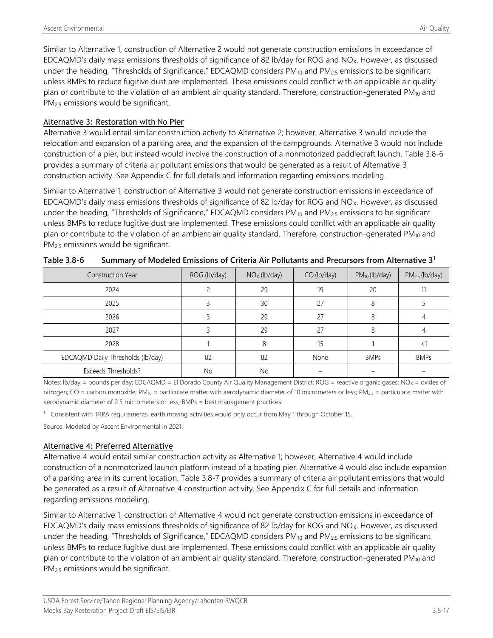Similar to Alternative 1, construction of Alternative 2 would not generate construction emissions in exceedance of EDCAQMD's daily mass emissions thresholds of significance of 82 lb/day for ROG and NO<sub>X</sub>. However, as discussed under the heading, "Thresholds of Significance," EDCAQMD considers PM<sub>10</sub> and PM<sub>2.5</sub> emissions to be significant unless BMPs to reduce fugitive dust are implemented. These emissions could conflict with an applicable air quality plan or contribute to the violation of an ambient air quality standard. Therefore, construction-generated PM<sub>10</sub> and PM<sub>2.5</sub> emissions would be significant.

#### Alternative 3: Restoration with No Pier

Alternative 3 would entail similar construction activity to Alternative 2; however, Alternative 3 would include the relocation and expansion of a parking area, and the expansion of the campgrounds. Alternative 3 would not include construction of a pier, but instead would involve the construction of a nonmotorized paddlecraft launch. Table 3.8-6 provides a summary of criteria air pollutant emissions that would be generated as a result of Alternative 3 construction activity. See Appendix C for full details and information regarding emissions modeling.

Similar to Alternative 1, construction of Alternative 3 would not generate construction emissions in exceedance of EDCAQMD's daily mass emissions thresholds of significance of 82 lb/day for ROG and NO<sub>X</sub>. However, as discussed under the heading, "Thresholds of Significance," EDCAQMD considers PM<sub>10</sub> and PM<sub>2.5</sub> emissions to be significant unless BMPs to reduce fugitive dust are implemented. These emissions could conflict with an applicable air quality plan or contribute to the violation of an ambient air quality standard. Therefore, construction-generated PM<sub>10</sub> and PM<sub>2.5</sub> emissions would be significant.

| <b>Construction Year</b>          | ROG (lb/day) | $NOx$ (lb/day) | $CO$ (lb/day) | $PM_{10}$ (lb/day) | $PM2.5$ (lb/day) |
|-----------------------------------|--------------|----------------|---------------|--------------------|------------------|
| 2024                              |              | 29             | 19            | 20                 |                  |
| 2025                              |              | 30             | 27            |                    |                  |
| 2026                              |              | 29             | 27            | 8                  |                  |
| 2027                              |              | 29             | 27            | 8                  |                  |
| 2028                              |              | ጸ              | 15            |                    | ≺                |
| EDCAQMD Daily Thresholds (lb/day) | 82           | 82             | None          | <b>BMPs</b>        | <b>BMPs</b>      |
| Exceeds Thresholds?               | No           | No             |               |                    |                  |

| Summary of Modeled Emissions of Criteria Air Pollutants and Precursors from Alternative 3 <sup>1</sup><br>Table 3.8-6 |  |
|-----------------------------------------------------------------------------------------------------------------------|--|
|-----------------------------------------------------------------------------------------------------------------------|--|

Notes: lb/day = pounds per day; EDCAQMD = El Dorado County Air Quality Management District; ROG = reactive organic gases; NO<sub>x</sub> = oxides of nitrogen; CO = carbon monoxide; PM<sub>10</sub> = particulate matter with aerodynamic diameter of 10 micrometers or less; PM<sub>2.5</sub> = particulate matter with aerodynamic diameter of 2.5 micrometers or less; BMPs = best management practices.

<sup>1</sup> Consistent with TRPA requirements, earth moving activities would only occur from May 1 through October 15.

Source: Modeled by Ascent Environmental in 2021.

#### Alternative 4: Preferred Alternative

Alternative 4 would entail similar construction activity as Alternative 1; however, Alternative 4 would include construction of a nonmotorized launch platform instead of a boating pier. Alternative 4 would also include expansion of a parking area in its current location. Table 3.8-7 provides a summary of criteria air pollutant emissions that would be generated as a result of Alternative 4 construction activity. See Appendix C for full details and information regarding emissions modeling.

Similar to Alternative 1, construction of Alternative 4 would not generate construction emissions in exceedance of EDCAQMD's daily mass emissions thresholds of significance of 82 lb/day for ROG and NO<sub>X</sub>. However, as discussed under the heading, "Thresholds of Significance," EDCAQMD considers  $PM_{10}$  and  $PM_{2.5}$  emissions to be significant unless BMPs to reduce fugitive dust are implemented. These emissions could conflict with an applicable air quality plan or contribute to the violation of an ambient air quality standard. Therefore, construction-generated  $PM_{10}$  and PM<sub>2.5</sub> emissions would be significant.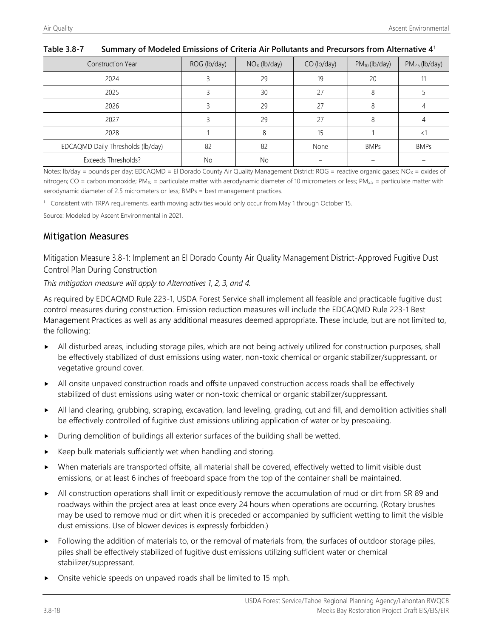| <b>Construction Year</b>          | ROG (lb/day) | $NOx$ (lb/day) | $CO$ (lb/day) | $PM_{10}$ (lb/day) | $PM2.5$ (lb/day) |
|-----------------------------------|--------------|----------------|---------------|--------------------|------------------|
| 2024                              |              | 29             | 19            | 20                 |                  |
| 2025                              |              | 30             | 27            |                    |                  |
| 2026                              |              | 29             | 27            |                    |                  |
| 2027                              |              | 29             | 27            |                    |                  |
| 2028                              |              |                | 15            |                    |                  |
| EDCAQMD Daily Thresholds (lb/day) | 82           | 82             | None          | <b>BMPs</b>        | <b>BMPs</b>      |
| Exceeds Thresholds?               | No           | No             |               |                    |                  |

#### **Table 3.8-7 Summary of Modeled Emissions of Criteria Air Pollutants and Precursors from Alternative 4<sup>1</sup>**

Notes: Ib/day = pounds per day; EDCAQMD = El Dorado County Air Quality Management District; ROG = reactive organic gases; NO<sub>x</sub> = oxides of nitrogen; CO = carbon monoxide; PM<sub>10</sub> = particulate matter with aerodynamic diameter of 10 micrometers or less; PM<sub>2.5</sub> = particulate matter with aerodynamic diameter of 2.5 micrometers or less; BMPs = best management practices.

<sup>1</sup> Consistent with TRPA requirements, earth moving activities would only occur from May 1 through October 15.

Source: Modeled by Ascent Environmental in 2021.

### Mitigation Measures

Mitigation Measure 3.8-1: Implement an El Dorado County Air Quality Management District-Approved Fugitive Dust Control Plan During Construction

*This mitigation measure will apply to Alternatives 1, 2, 3, and 4.*

As required by EDCAQMD Rule 223-1, USDA Forest Service shall implement all feasible and practicable fugitive dust control measures during construction. Emission reduction measures will include the EDCAQMD Rule 223‐1 Best Management Practices as well as any additional measures deemed appropriate. These include, but are not limited to, the following:

- All disturbed areas, including storage piles, which are not being actively utilized for construction purposes, shall be effectively stabilized of dust emissions using water, non-toxic chemical or organic stabilizer/suppressant, or vegetative ground cover.
- All onsite unpaved construction roads and offsite unpaved construction access roads shall be effectively stabilized of dust emissions using water or non-toxic chemical or organic stabilizer/suppressant.
- All land clearing, grubbing, scraping, excavation, land leveling, grading, cut and fill, and demolition activities shall be effectively controlled of fugitive dust emissions utilizing application of water or by presoaking.
- During demolition of buildings all exterior surfaces of the building shall be wetted.
- Keep bulk materials sufficiently wet when handling and storing.
- When materials are transported offsite, all material shall be covered, effectively wetted to limit visible dust emissions, or at least 6 inches of freeboard space from the top of the container shall be maintained.
- All construction operations shall limit or expeditiously remove the accumulation of mud or dirt from SR 89 and roadways within the project area at least once every 24 hours when operations are occurring. (Rotary brushes may be used to remove mud or dirt when it is preceded or accompanied by sufficient wetting to limit the visible dust emissions. Use of blower devices is expressly forbidden.)
- $\blacktriangleright$  Following the addition of materials to, or the removal of materials from, the surfaces of outdoor storage piles, piles shall be effectively stabilized of fugitive dust emissions utilizing sufficient water or chemical stabilizer/suppressant.
- Onsite vehicle speeds on unpaved roads shall be limited to 15 mph.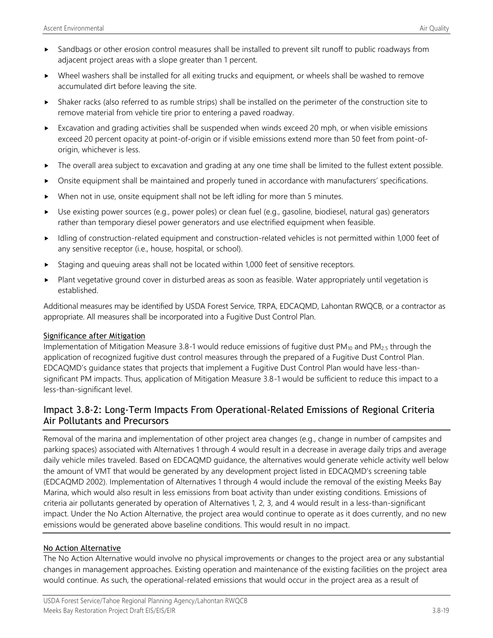- Sandbags or other erosion control measures shall be installed to prevent silt runoff to public roadways from adjacent project areas with a slope greater than 1 percent.
- Wheel washers shall be installed for all exiting trucks and equipment, or wheels shall be washed to remove accumulated dirt before leaving the site.
- Shaker racks (also referred to as rumble strips) shall be installed on the perimeter of the construction site to remove material from vehicle tire prior to entering a paved roadway.
- Excavation and grading activities shall be suspended when winds exceed 20 mph, or when visible emissions exceed 20 percent opacity at point-of-origin or if visible emissions extend more than 50 feet from point-oforigin, whichever is less.
- The overall area subject to excavation and grading at any one time shall be limited to the fullest extent possible.
- Onsite equipment shall be maintained and properly tuned in accordance with manufacturers' specifications.
- When not in use, onsite equipment shall not be left idling for more than 5 minutes.
- Use existing power sources (e.g., power poles) or clean fuel (e.g., gasoline, biodiesel, natural gas) generators rather than temporary diesel power generators and use electrified equipment when feasible.
- Idling of construction-related equipment and construction-related vehicles is not permitted within 1,000 feet of any sensitive receptor (i.e., house, hospital, or school).
- Staging and queuing areas shall not be located within 1,000 feet of sensitive receptors.
- Plant vegetative ground cover in disturbed areas as soon as feasible. Water appropriately until vegetation is established.

Additional measures may be identified by USDA Forest Service, TRPA, EDCAQMD, Lahontan RWQCB, or a contractor as appropriate. All measures shall be incorporated into a Fugitive Dust Control Plan.

#### Significance after Mitigation

Implementation of Mitigation Measure 3.8-1 would reduce emissions of fugitive dust  $PM_{10}$  and  $PM_{2.5}$  through the application of recognized fugitive dust control measures through the prepared of a Fugitive Dust Control Plan. EDCAQMD's guidance states that projects that implement a Fugitive Dust Control Plan would have less-thansignificant PM impacts. Thus, application of Mitigation Measure 3.8-1 would be sufficient to reduce this impact to a less-than-significant level.

### Impact 3.8-2: Long-Term Impacts From Operational-Related Emissions of Regional Criteria Air Pollutants and Precursors

Removal of the marina and implementation of other project area changes (e.g., change in number of campsites and parking spaces) associated with Alternatives 1 through 4 would result in a decrease in average daily trips and average daily vehicle miles traveled. Based on EDCAQMD guidance, the alternatives would generate vehicle activity well below the amount of VMT that would be generated by any development project listed in EDCAQMD's screening table (EDCAQMD 2002). Implementation of Alternatives 1 through 4 would include the removal of the existing Meeks Bay Marina, which would also result in less emissions from boat activity than under existing conditions. Emissions of criteria air pollutants generated by operation of Alternatives 1, 2, 3, and 4 would result in a less-than-significant impact. Under the No Action Alternative, the project area would continue to operate as it does currently, and no new emissions would be generated above baseline conditions. This would result in no impact.

#### No Action Alternative

The No Action Alternative would involve no physical improvements or changes to the project area or any substantial changes in management approaches. Existing operation and maintenance of the existing facilities on the project area would continue. As such, the operational-related emissions that would occur in the project area as a result of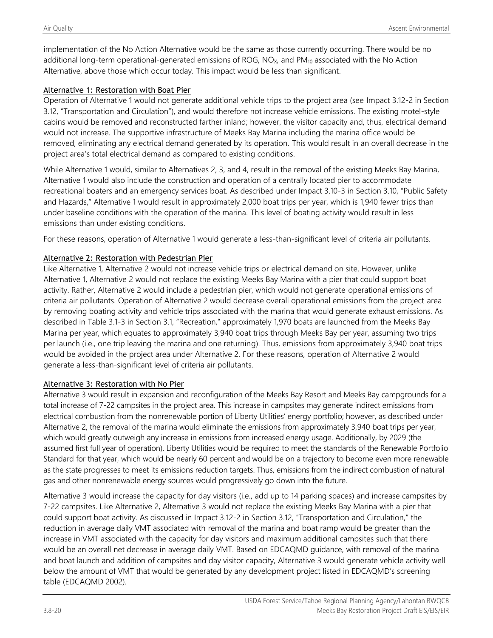implementation of the No Action Alternative would be the same as those currently occurring. There would be no additional long-term operational-generated emissions of ROG,  $NO<sub>x</sub>$ , and  $PM<sub>10</sub>$  associated with the No Action Alternative, above those which occur today. This impact would be less than significant.

### Alternative 1: Restoration with Boat Pier

Operation of Alternative 1 would not generate additional vehicle trips to the project area (see Impact 3.12-2 in Section 3.12, "Transportation and Circulation"), and would therefore not increase vehicle emissions. The existing motel-style cabins would be removed and reconstructed farther inland; however, the visitor capacity and, thus, electrical demand would not increase. The supportive infrastructure of Meeks Bay Marina including the marina office would be removed, eliminating any electrical demand generated by its operation. This would result in an overall decrease in the project area's total electrical demand as compared to existing conditions.

While Alternative 1 would, similar to Alternatives 2, 3, and 4, result in the removal of the existing Meeks Bay Marina, Alternative 1 would also include the construction and operation of a centrally located pier to accommodate recreational boaters and an emergency services boat. As described under Impact 3.10-3 in Section 3.10, "Public Safety and Hazards," Alternative 1 would result in approximately 2,000 boat trips per year, which is 1,940 fewer trips than under baseline conditions with the operation of the marina. This level of boating activity would result in less emissions than under existing conditions.

For these reasons, operation of Alternative 1 would generate a less-than-significant level of criteria air pollutants.

### Alternative 2: Restoration with Pedestrian Pier

Like Alternative 1, Alternative 2 would not increase vehicle trips or electrical demand on site. However, unlike Alternative 1, Alternative 2 would not replace the existing Meeks Bay Marina with a pier that could support boat activity. Rather, Alternative 2 would include a pedestrian pier, which would not generate operational emissions of criteria air pollutants. Operation of Alternative 2 would decrease overall operational emissions from the project area by removing boating activity and vehicle trips associated with the marina that would generate exhaust emissions. As described in Table 3.1-3 in Section 3.1, "Recreation," approximately 1,970 boats are launched from the Meeks Bay Marina per year, which equates to approximately 3,940 boat trips through Meeks Bay per year, assuming two trips per launch (i.e., one trip leaving the marina and one returning). Thus, emissions from approximately 3,940 boat trips would be avoided in the project area under Alternative 2. For these reasons, operation of Alternative 2 would generate a less-than-significant level of criteria air pollutants.

#### Alternative 3: Restoration with No Pier

Alternative 3 would result in expansion and reconfiguration of the Meeks Bay Resort and Meeks Bay campgrounds for a total increase of 7-22 campsites in the project area. This increase in campsites may generate indirect emissions from electrical combustion from the nonrenewable portion of Liberty Utilities' energy portfolio; however, as described under Alternative 2, the removal of the marina would eliminate the emissions from approximately 3,940 boat trips per year, which would greatly outweigh any increase in emissions from increased energy usage. Additionally, by 2029 (the assumed first full year of operation), Liberty Utilities would be required to meet the standards of the Renewable Portfolio Standard for that year, which would be nearly 60 percent and would be on a trajectory to become even more renewable as the state progresses to meet its emissions reduction targets. Thus, emissions from the indirect combustion of natural gas and other nonrenewable energy sources would progressively go down into the future.

Alternative 3 would increase the capacity for day visitors (i.e., add up to 14 parking spaces) and increase campsites by 7-22 campsites. Like Alternative 2, Alternative 3 would not replace the existing Meeks Bay Marina with a pier that could support boat activity. As discussed in Impact 3.12-2 in Section 3.12, "Transportation and Circulation," the reduction in average daily VMT associated with removal of the marina and boat ramp would be greater than the increase in VMT associated with the capacity for day visitors and maximum additional campsites such that there would be an overall net decrease in average daily VMT. Based on EDCAQMD guidance, with removal of the marina and boat launch and addition of campsites and day visitor capacity, Alternative 3 would generate vehicle activity well below the amount of VMT that would be generated by any development project listed in EDCAQMD's screening table (EDCAQMD 2002).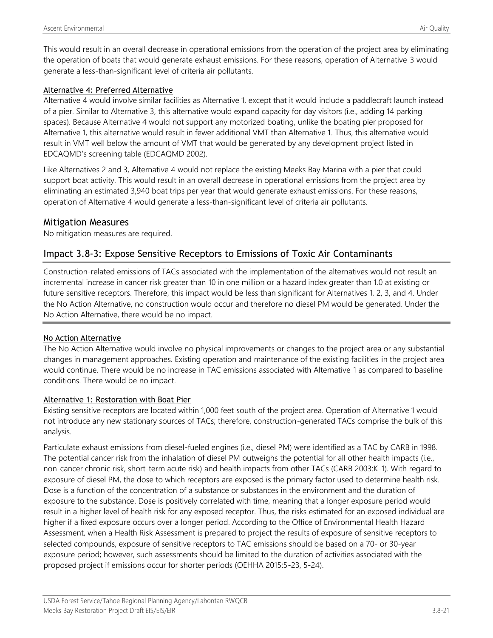This would result in an overall decrease in operational emissions from the operation of the project area by eliminating the operation of boats that would generate exhaust emissions. For these reasons, operation of Alternative 3 would generate a less-than-significant level of criteria air pollutants.

### Alternative 4: Preferred Alternative

Alternative 4 would involve similar facilities as Alternative 1, except that it would include a paddlecraft launch instead of a pier. Similar to Alternative 3, this alternative would expand capacity for day visitors (i.e., adding 14 parking spaces). Because Alternative 4 would not support any motorized boating, unlike the boating pier proposed for Alternative 1, this alternative would result in fewer additional VMT than Alternative 1. Thus, this alternative would result in VMT well below the amount of VMT that would be generated by any development project listed in EDCAQMD's screening table (EDCAQMD 2002).

Like Alternatives 2 and 3, Alternative 4 would not replace the existing Meeks Bay Marina with a pier that could support boat activity. This would result in an overall decrease in operational emissions from the project area by eliminating an estimated 3,940 boat trips per year that would generate exhaust emissions. For these reasons, operation of Alternative 4 would generate a less-than-significant level of criteria air pollutants.

### Mitigation Measures

No mitigation measures are required.

## Impact 3.8-3: Expose Sensitive Receptors to Emissions of Toxic Air Contaminants

Construction-related emissions of TACs associated with the implementation of the alternatives would not result an incremental increase in cancer risk greater than 10 in one million or a hazard index greater than 1.0 at existing or future sensitive receptors. Therefore, this impact would be less than significant for Alternatives 1, 2, 3, and 4. Under the No Action Alternative, no construction would occur and therefore no diesel PM would be generated. Under the No Action Alternative, there would be no impact.

### No Action Alternative

The No Action Alternative would involve no physical improvements or changes to the project area or any substantial changes in management approaches. Existing operation and maintenance of the existing facilities in the project area would continue. There would be no increase in TAC emissions associated with Alternative 1 as compared to baseline conditions. There would be no impact.

### Alternative 1: Restoration with Boat Pier

Existing sensitive receptors are located within 1,000 feet south of the project area. Operation of Alternative 1 would not introduce any new stationary sources of TACs; therefore, construction-generated TACs comprise the bulk of this analysis.

Particulate exhaust emissions from diesel-fueled engines (i.e., diesel PM) were identified as a TAC by CARB in 1998. The potential cancer risk from the inhalation of diesel PM outweighs the potential for all other health impacts (i.e., non-cancer chronic risk, short-term acute risk) and health impacts from other TACs (CARB 2003:K-1). With regard to exposure of diesel PM, the dose to which receptors are exposed is the primary factor used to determine health risk. Dose is a function of the concentration of a substance or substances in the environment and the duration of exposure to the substance. Dose is positively correlated with time, meaning that a longer exposure period would result in a higher level of health risk for any exposed receptor. Thus, the risks estimated for an exposed individual are higher if a fixed exposure occurs over a longer period. According to the Office of Environmental Health Hazard Assessment, when a Health Risk Assessment is prepared to project the results of exposure of sensitive receptors to selected compounds, exposure of sensitive receptors to TAC emissions should be based on a 70- or 30-year exposure period; however, such assessments should be limited to the duration of activities associated with the proposed project if emissions occur for shorter periods (OEHHA 2015:5-23, 5-24).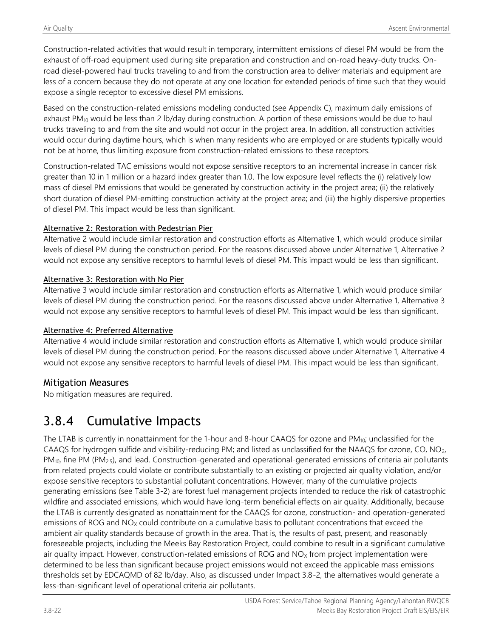Construction-related activities that would result in temporary, intermittent emissions of diesel PM would be from the exhaust of off-road equipment used during site preparation and construction and on-road heavy-duty trucks. Onroad diesel-powered haul trucks traveling to and from the construction area to deliver materials and equipment are less of a concern because they do not operate at any one location for extended periods of time such that they would expose a single receptor to excessive diesel PM emissions.

Based on the construction-related emissions modeling conducted (see Appendix C), maximum daily emissions of exhaust PM<sub>10</sub> would be less than 2 lb/day during construction. A portion of these emissions would be due to haul trucks traveling to and from the site and would not occur in the project area. In addition, all construction activities would occur during daytime hours, which is when many residents who are employed or are students typically would not be at home, thus limiting exposure from construction-related emissions to these receptors.

Construction-related TAC emissions would not expose sensitive receptors to an incremental increase in cancer risk greater than 10 in 1 million or a hazard index greater than 1.0. The low exposure level reflects the (i) relatively low mass of diesel PM emissions that would be generated by construction activity in the project area; (ii) the relatively short duration of diesel PM-emitting construction activity at the project area; and (iii) the highly dispersive properties of diesel PM. This impact would be less than significant.

### Alternative 2: Restoration with Pedestrian Pier

Alternative 2 would include similar restoration and construction efforts as Alternative 1, which would produce similar levels of diesel PM during the construction period. For the reasons discussed above under Alternative 1, Alternative 2 would not expose any sensitive receptors to harmful levels of diesel PM. This impact would be less than significant.

### Alternative 3: Restoration with No Pier

Alternative 3 would include similar restoration and construction efforts as Alternative 1, which would produce similar levels of diesel PM during the construction period. For the reasons discussed above under Alternative 1, Alternative 3 would not expose any sensitive receptors to harmful levels of diesel PM. This impact would be less than significant.

### Alternative 4: Preferred Alternative

Alternative 4 would include similar restoration and construction efforts as Alternative 1, which would produce similar levels of diesel PM during the construction period. For the reasons discussed above under Alternative 1, Alternative 4 would not expose any sensitive receptors to harmful levels of diesel PM. This impact would be less than significant.

## Mitigation Measures

No mitigation measures are required.

# 3.8.4 Cumulative Impacts

The LTAB is currently in nonattainment for the 1-hour and 8-hour CAAQS for ozone and PM<sub>10</sub>; unclassified for the CAAQS for hydrogen sulfide and visibility-reducing PM; and listed as unclassified for the NAAQS for ozone, CO,  $NO<sub>2</sub>$ , PM<sub>10</sub>, fine PM (PM<sub>2.5</sub>), and lead. Construction-generated and operational-generated emissions of criteria air pollutants from related projects could violate or contribute substantially to an existing or projected air quality violation, and/or expose sensitive receptors to substantial pollutant concentrations. However, many of the cumulative projects generating emissions (see Table 3-2) are forest fuel management projects intended to reduce the risk of catastrophic wildfire and associated emissions, which would have long-term beneficial effects on air quality. Additionally, because the LTAB is currently designated as nonattainment for the CAAQS for ozone, construction- and operation-generated emissions of ROG and NO<sub>x</sub> could contribute on a cumulative basis to pollutant concentrations that exceed the ambient air quality standards because of growth in the area. That is, the results of past, present, and reasonably foreseeable projects, including the Meeks Bay Restoration Project, could combine to result in a significant cumulative air quality impact. However, construction-related emissions of ROG and  $NO<sub>x</sub>$  from project implementation were determined to be less than significant because project emissions would not exceed the applicable mass emissions thresholds set by EDCAQMD of 82 lb/day. Also, as discussed under Impact 3.8-2, the alternatives would generate a less-than-significant level of operational criteria air pollutants.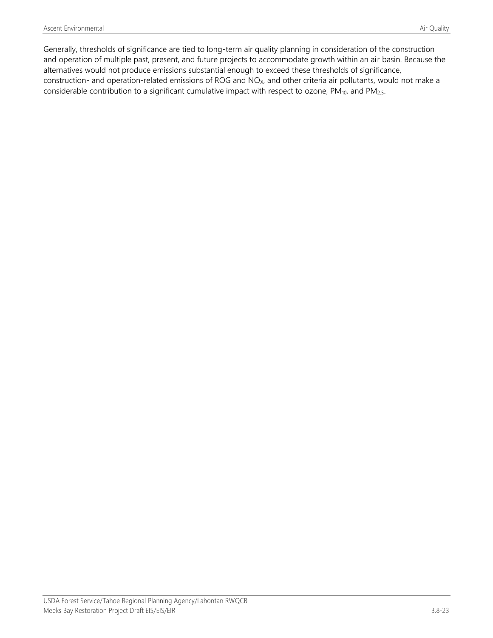Generally, thresholds of significance are tied to long-term air quality planning in consideration of the construction and operation of multiple past, present, and future projects to accommodate growth within an air basin. Because the alternatives would not produce emissions substantial enough to exceed these thresholds of significance, construction- and operation-related emissions of ROG and NO<sub>x</sub>, and other criteria air pollutants, would not make a considerable contribution to a significant cumulative impact with respect to ozone, PM<sub>10</sub>, and PM<sub>2.5</sub>.